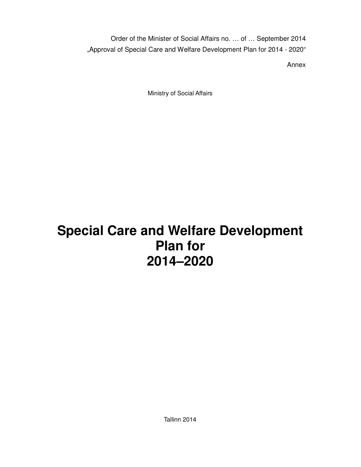Order of the Minister of Social Affairs no. … of … September 2014 "Approval of Special Care and Welfare Development Plan for 2014 - 2020"

Annex

Ministry of Social Affairs

# **Special Care and Welfare Development Plan for 2014–2020**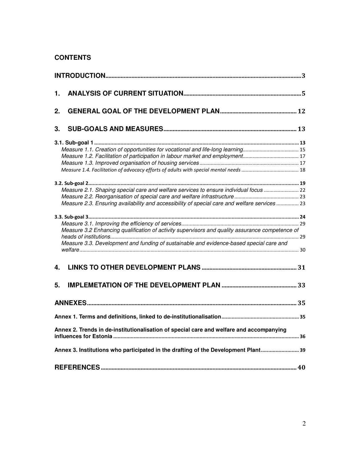# **CONTENTS**

| 1. |                                                                                                                                                                                            |  |
|----|--------------------------------------------------------------------------------------------------------------------------------------------------------------------------------------------|--|
| 2. |                                                                                                                                                                                            |  |
| 3. |                                                                                                                                                                                            |  |
|    |                                                                                                                                                                                            |  |
|    |                                                                                                                                                                                            |  |
|    | Measure 2.1. Shaping special care and welfare services to ensure individual focus  22<br>Measure 2.3. Ensuring availability and accessibility of special care and welfare services  23     |  |
|    | Measure 3.2 Enhancing qualification of activity supervisors and quality assurance competence of<br>Measure 3.3. Development and funding of sustainable and evidence-based special care and |  |
| 4. |                                                                                                                                                                                            |  |
| 5. |                                                                                                                                                                                            |  |
|    |                                                                                                                                                                                            |  |
|    |                                                                                                                                                                                            |  |
|    | Annex 2. Trends in de-institutionalisation of special care and welfare and accompanying                                                                                                    |  |
|    | Annex 3. Institutions who participated in the drafting of the Development Plant 39                                                                                                         |  |
|    |                                                                                                                                                                                            |  |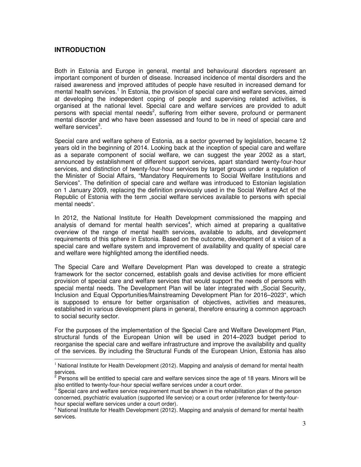# **INTRODUCTION**

Both in Estonia and Europe in general, mental and behavioural disorders represent an important component of burden of disease. Increased incidence of mental disorders and the raised awareness and improved attitudes of people have resulted in increased demand for mental health services.<sup>1</sup> In Estonia, the provision of special care and welfare services, aimed at developing the independent coping of people and supervising related activities, is organised at the national level. Special care and welfare services are provided to adult persons with special mental needs<sup>2</sup>, suffering from either severe, profound or permanent mental disorder and who have been assessed and found to be in need of special care and welfare services<sup>3</sup>.

Special care and welfare sphere of Estonia, as a sector governed by legislation, became 12 years old in the beginning of 2014. Looking back at the inception of special care and welfare as a separate component of social welfare, we can suggest the year 2002 as a start, announced by establishment of different support services, apart standard twenty-four-hour services, and distinction of twenty-four-hour services by target groups under a regulation of the Minister of Social Affairs, "Mandatory Requirements to Social Welfare Institutions and Services". The definition of special care and welfare was introduced to Estonian legislation on 1 January 2009, replacing the definition previously used in the Social Welfare Act of the Republic of Estonia with the term "social welfare services available to persons with special mental needs".

In 2012, the National Institute for Health Development commissioned the mapping and analysis of demand for mental health services<sup>4</sup>, which aimed at preparing a qualitative overview of the range of mental health services, available to adults, and development requirements of this sphere in Estonia. Based on the outcome, development of a vision of a special care and welfare system and improvement of availability and quality of special care and welfare were highlighted among the identified needs.

The Special Care and Welfare Development Plan was developed to create a strategic framework for the sector concerned, establish goals and devise activities for more efficient provision of special care and welfare services that would support the needs of persons with special mental needs. The Development Plan will be later integrated with "Social Security, Inclusion and Equal Opportunities/Mainstreaming Development Plan for 2016–2023", which is supposed to ensure for better organisation of objectives, activities and measures, established in various development plans in general, therefore ensuring a common approach to social security sector.

For the purposes of the implementation of the Special Care and Welfare Development Plan, structural funds of the European Union will be used in 2014–2023 budget period to reorganise the special care and welfare infrastructure and improve the availability and quality of the services. By including the Structural Funds of the European Union, Estonia has also  $\overline{a}$ 

 $1$  National Institute for Health Development (2012). Mapping and analysis of demand for mental health services.<br><sup>2</sup> Persons will be entitled to special care and welfare services since the age of 18 years. Minors will be

also entitled to twenty-four-hour special welfare services under a court order.

 $3$  Special care and welfare service requirement must be shown in the rehabilitation plan of the person concerned, psychiatric evaluation (supported life service) or a court order (reference for twenty-fourhour special welfare services under a court order).

 $<sup>4</sup>$  National Institute for Health Development (2012). Mapping and analysis of demand for mental health</sup> services.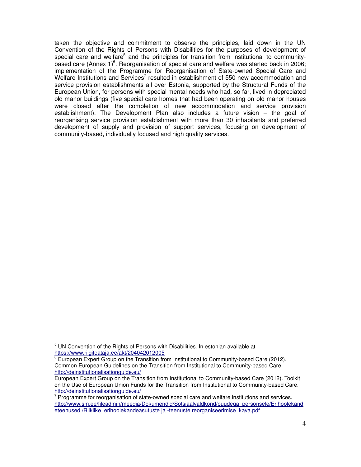taken the objective and commitment to observe the principles, laid down in the UN Convention of the Rights of Persons with Disabilities for the purposes of development of special care and welfare<sup>5</sup> and the principles for transition from institutional to communitybased care (Annex 1) $^6$ . Reorganisation of special care and welfare was started back in 2006; implementation of the Programme for Reorganisation of State-owned Special Care and Welfare Institutions and Services<sup>7</sup> resulted in establishment of 550 new accommodation and service provision establishments all over Estonia, supported by the Structural Funds of the European Union, for persons with special mental needs who had, so far, lived in depreciated old manor buildings (five special care homes that had been operating on old manor houses were closed after the completion of new accommodation and service provision establishment). The Development Plan also includes a future vision – the goal of reorganising service provision establishment with more than 30 inhabitants and preferred development of supply and provision of support services, focusing on development of community-based, individually focused and high quality services.

 $5$  UN Convention of the Rights of Persons with Disabilities. In estonian available at https://www.riigiteataja.ee/akt/204042012005

 $6$  European Expert Group on the Transition from Institutional to Community-based Care (2012). Common European Guidelines on the Transition from Institutional to Community-based Care. http://deinstitutionalisationguide.eu/

European Expert Group on the Transition from Institutional to Community-based Care (2012). Toolkit on the Use of European Union Funds for the Transition from Institutional to Community-based Care. http://deinstitutionalisationguide.eu/

 $7$  Programme for reorganisation of state-owned special care and welfare institutions and services. http://www.sm.ee/fileadmin/meedia/Dokumendid/Sotsiaalvaldkond/puudega\_personsele/Erihoolekand eteenused /Riiklike\_erihoolekandeasutuste ja -teenuste reorganiseerimise\_kava.pdf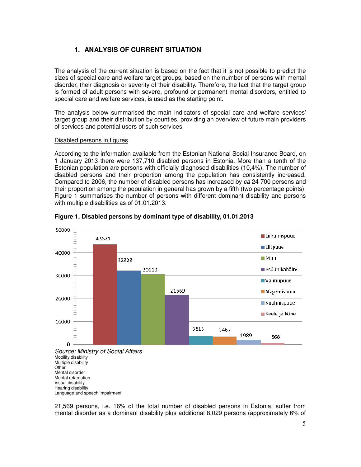# **1. ANALYSIS OF CURRENT SITUATION**

The analysis of the current situation is based on the fact that it is not possible to predict the sizes of special care and welfare target groups, based on the number of persons with mental disorder, their diagnosis or severity of their disability. Therefore, the fact that the target group is formed of adult persons with severe, profound or permanent mental disorders, entitled to special care and welfare services, is used as the starting point.

The analysis below summarised the main indicators of special care and welfare services' target group and their distribution by counties, providing an overview of future main providers of services and potential users of such services.

### Disabled persons in figures

According to the information available from the Estonian National Social Insurance Board, on 1 January 2013 there were 137,710 disabled persons in Estonia. More than a tenth of the Estonian population are persons with officially diagnosed disabilities (10,4%). The number of disabled persons and their proportion among the population has consistently increased. Compared to 2006, the number of disabled persons has increased by ca 24 700 persons and their proportion among the population in general has grown by a fifth (two percentage points). Figure 1 summarises the number of persons with different dominant disability and persons with multiple disabilities as of 01.01.2013.



### **Figure 1. Disabled persons by dominant type of disability, 01.01.2013**

Mobility disability Multiple disability **Other** Mental disorder Mental retardation Visual disability Hearing disability Language and speech impairment

21,569 persons, i.e. 16% of the total number of disabled persons in Estonia, suffer from mental disorder as a dominant disability plus additional 8,029 persons (approximately 6% of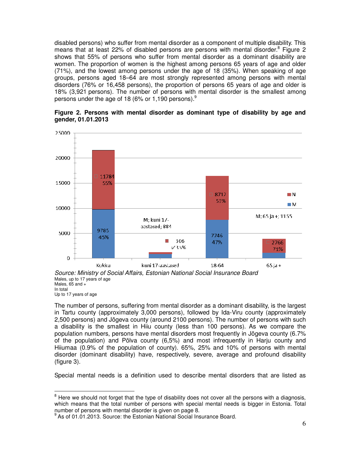disabled persons) who suffer from mental disorder as a component of multiple disability. This means that at least 22% of disabled persons are persons with mental disorder.<sup>8</sup> Figure 2 shows that 55% of persons who suffer from mental disorder as a dominant disability are women. The proportion of women is the highest among persons 65 years of age and older (71%), and the lowest among persons under the age of 18 (35%). When speaking of age groups, persons aged 18–64 are most strongly represented among persons with mental disorders (76% or 16,458 persons), the proportion of persons 65 years of age and older is 18% (3,921 persons). The number of persons with mental disorder is the smallest among persons under the age of 18 (6% or 1,190 persons). $^9$ 





Source: Ministry of Social Affairs, Estonian National Social Insurance Board Males, up to 17 years of age Males,  $65$  and  $+$ In total Up to 17 years of age

The number of persons, suffering from mental disorder as a dominant disability, is the largest in Tartu county (approximately 3,000 persons), followed by Ida-Viru county (approximately 2,500 persons) and Jõgeva county (around 2100 persons). The number of persons with such a disability is the smallest in Hiiu county (less than 100 persons). As we compare the population numbers, persons have mental disorders most frequently in Jõgeva county (6.7% of the population) and Põlva county (6,5%) and most infrequently in Harju county and Hiiumaa (0.9% of the population of county). 65%, 25% and 10% of persons with mental disorder (dominant disability) have, respectively, severe, average and profound disability (figure 3).

Special mental needs is a definition used to describe mental disorders that are listed as

 $8$  Here we should not forget that the type of disability does not cover all the persons with a diagnosis, which means that the total number of persons with special mental needs is bigger in Estonia. Total number of persons with mental disorder is given on page 8.

<sup>&</sup>lt;sup>9</sup> As of 01.01.2013. Source: the Estonian National Social Insurance Board.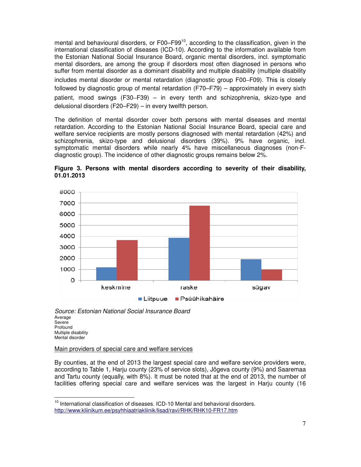mental and behavioural disorders, or  $F00-F99<sup>10</sup>$ , according to the classification, given in the international classification of diseases (ICD-10). According to the information available from the Estonian National Social Insurance Board, organic mental disorders, incl. symptomatic mental disorders, are among the group if disorders most often diagnosed in persons who suffer from mental disorder as a dominant disability and multiple disability (multiple disability includes mental disorder or mental retardation (diagnostic group F00–F09). This is closely followed by diagnostic group of mental retardation (F70–F79) – approximately in every sixth patient, mood swings (F30–F39) – in every tenth and schizophrenia, skizo-type and delusional disorders (F20–F29) – in every twelfth person.

The definition of mental disorder cover both persons with mental diseases and mental retardation. According to the Estonian National Social Insurance Board, special care and welfare service recipients are mostly persons diagnosed with mental retardation (42%) and schizophrenia, skizo-type and delusional disorders (39%). 9% have organic, incl. symptomatic mental disorders while nearly 4% have miscellaneous diagnoses (non-Fdiagnostic group). The incidence of other diagnostic groups remains below 2%.





Source: Estonian National Social Insurance Board Average Severe Profound Multiple disability Mental disorder

Main providers of special care and welfare services

 $\overline{a}$ 

By counties, at the end of 2013 the largest special care and welfare service providers were, according to Table 1, Harju county (23% of service slots), Jõgeva county (9%) and Saaremaa and Tartu county (equally, with 8%). It must be noted that at the end of 2013, the number of facilities offering special care and welfare services was the largest in Harju county (16

 $10$  International classification of diseases. ICD-10 Mental and behavioral disorders. http://www.kliinikum.ee/psyhhiaatriakliinik/lisad/ravi/RHK/RHK10-FR17.htm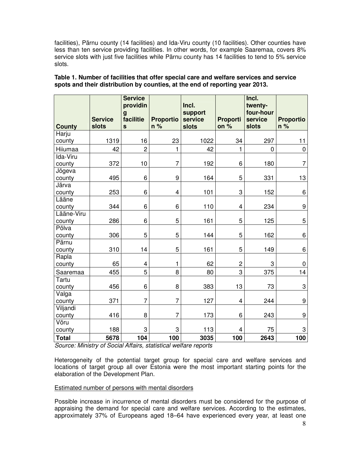facilities), Pärnu county (14 facilities) and Ida-Viru county (10 facilities). Other counties have less than ten service providing facilities. In other words, for example Saaremaa, covers 8% service slots with just five facilities while Pärnu county has 14 facilities to tend to 5% service slots.

| <b>Service</b><br>slots<br><b>County</b> |      | <b>Service</b><br>providin<br>g<br>facilitie<br>$\mathbf{s}$ | <b>Proportio</b><br>n % | Incl.<br>support<br>service<br>slots | <b>Proporti</b><br>on $%$ | Incl.<br>twenty-<br>four-hour<br>service<br>slots | <b>Proportio</b><br>$n\%$ |
|------------------------------------------|------|--------------------------------------------------------------|-------------------------|--------------------------------------|---------------------------|---------------------------------------------------|---------------------------|
| Harju                                    |      |                                                              |                         |                                      |                           |                                                   |                           |
| county                                   | 1319 | 16                                                           | 23                      | 1022                                 | 34                        | 297                                               | 11                        |
| Hiiumaa                                  | 42   | $\overline{c}$                                               | $\mathbf{1}$            | 42                                   | 1                         | $\mathbf 0$                                       | $\pmb{0}$                 |
| Ida-Viru                                 |      |                                                              |                         |                                      |                           |                                                   |                           |
| county                                   | 372  | 10                                                           | $\overline{7}$          | 192                                  | 6                         | 180                                               | $\overline{7}$            |
| Jõgeva                                   |      |                                                              |                         |                                      |                           |                                                   |                           |
| county                                   | 495  | 6                                                            | 9                       | 164                                  | 5                         | 331                                               | 13                        |
| Järva                                    |      |                                                              |                         |                                      |                           |                                                   |                           |
| county                                   | 253  | 6                                                            | $\overline{\mathbf{4}}$ | 101                                  | 3                         | 152                                               | 6                         |
| Lääne                                    |      |                                                              |                         |                                      |                           |                                                   |                           |
| county                                   | 344  | 6                                                            | 6                       | 110                                  | $\overline{\mathbf{4}}$   | 234                                               | 9                         |
| Lääne-Viru                               |      |                                                              |                         |                                      |                           |                                                   |                           |
| county                                   | 286  | 6                                                            | 5                       | 161                                  | 5                         | 125                                               | 5                         |
| Põlva                                    |      |                                                              |                         |                                      |                           |                                                   |                           |
| county                                   | 306  | 5                                                            | 5                       | 144                                  | 5                         | 162                                               | 6                         |
| Pärnu                                    |      |                                                              |                         | 161                                  | 5                         |                                                   |                           |
| county                                   | 310  | 14                                                           | 5                       |                                      |                           | 149                                               | 6                         |
| Rapla<br>county                          | 65   | 4                                                            | $\mathbf{1}$            | 62                                   | $\overline{c}$            | 3                                                 | $\pmb{0}$                 |
| Saaremaa                                 | 455  | 5                                                            | 8                       | 80                                   | 3                         | 375                                               | 14                        |
| Tartu                                    |      |                                                              |                         |                                      |                           |                                                   |                           |
| county                                   | 456  | 6                                                            | 8                       | 383                                  | 13                        | 73                                                | $\mathbf 3$               |
| Valga                                    |      |                                                              |                         |                                      |                           |                                                   |                           |
| county                                   | 371  | $\overline{7}$                                               | $\overline{7}$          | 127                                  | $\overline{\mathbf{4}}$   | 244                                               | 9                         |
| Viljandi                                 |      |                                                              |                         |                                      |                           |                                                   |                           |
| county                                   | 416  | 8                                                            | $\overline{7}$          | 173                                  | 6                         | 243                                               | 9                         |
| Võru                                     |      |                                                              |                         |                                      |                           |                                                   |                           |
| county                                   | 188  | 3                                                            | 3                       | 113                                  | 4                         | 75                                                | 3                         |
| <b>Total</b>                             | 5678 | 104                                                          | 100                     | 3035                                 | 100                       | 2643                                              | 100                       |

# **Table 1. Number of facilities that offer special care and welfare services and service spots and their distribution by counties, at the end of reporting year 2013.**

Source: Ministry of Social Affairs, statistical welfare reports

Heterogeneity of the potential target group for special care and welfare services and locations of target group all over Estonia were the most important starting points for the elaboration of the Development Plan.

### Estimated number of persons with mental disorders

Possible increase in incurrence of mental disorders must be considered for the purpose of appraising the demand for special care and welfare services. According to the estimates, approximately 37% of Europeans aged 18–64 have experienced every year, at least one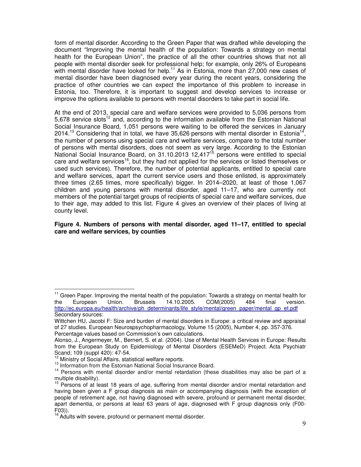form of mental disorder. According to the Green Paper that was drafted while developing the document "Improving the mental health of the population: Towards a strategy on mental health for the European Union", the practice of all the other countries shows that not all people with mental disorder seek for professional help; for example, only 26% of Europeans with mental disorder have looked for help.<sup>11</sup> As in Estonia, more than 27,000 new cases of mental disorder have been diagnosed every year during the recent years, considering the practice of other countries we can expect the importance of this problem to increase in Estonia, too. Therefore, it is important to suggest and develop services to increase or improve the options available to persons with mental disorders to take part in social life.

At the end of 2013, special care and welfare services were provided to 5,036 persons from 5,678 service slots<sup>12</sup> and, according to the information available from the Estonian National Social Insurance Board, 1,051 persons were waiting to be offered the services in January 2014.<sup>13</sup> Considering that in total, we have 35,626 persons with mental disorder in Estonia<sup>14</sup>, the number of persons using special care and welfare services, compare to the total number of persons with mental disorders, does not seem as very large. According to the Estonian National Social Insurance Board, on 31.10.2013 12,417<sup>15</sup> persons were entitled to special care and welfare services<sup>16</sup>, but they had not applied for the services or listed themselves or used such services). Therefore, the number of potential applicants, entitled to special care and welfare services, apart the current service users and those enlisted, is approximately three times (2.65 times, more specifically) bigger. In 2014–2020, at least of those 1,067 children and young persons with mental disorder, aged 11–17, who are currently not members of the potential target groups of recipients of special care and welfare services, due to their age, may added to this list. Figure 4 gives an overview of their places of living at county level.

### **Figure 4. Numbers of persons with mental disorder, aged 11–17, entitled to special care and welfare services, by counties**

<sup>&</sup>lt;sup>11</sup> Green Paper. Improving the mental health of the population: Towards a strategy on mental health for the European Union. Brussels 14.10.2005. COM(2005) 484 final version. http://ec.europa.eu/health/archive/ph\_determinants/life\_style/mental/green\_paper/mental\_gp\_et.pdf Secondary sources:

Wittchen HU, Jacobi F: Size and burden of mental disorders in Europe: a critical review and appraisal of 27 studies. European Neurospsychopharmacology, Volume 15 (2005), Number 4, pp. 357-376. Percentage values based on Commission's own calculations.

Alonso, J., Angermeyer, M., Bernert, S. et al. (2004). Use of Mental Health Services in Europe: Results from the European Study on Epidemiology of Mental Disorders (ESEMeD) Project. Acta Psychiatr Scand; 109 (suppl 420): 47-54.

<sup>&</sup>lt;sup>12</sup> Ministry of Social Affairs, statistical welfare reports.

<sup>&</sup>lt;sup>13</sup> Information from the Estonian National Social Insurance Board.

<sup>&</sup>lt;sup>14</sup> Persons with mental disorder and/or mental retardation (these disabilities may also be part of a multiple disability).

<sup>&</sup>lt;sup>15</sup> Persons of at least 18 years of age, suffering from mental disorder and/or mental retardation and having been given a F group diagnosis as main or accompanying diagnosis (with the exception of people of retirement age, not having diagnosed with severe, profound or permanent mental disorder, apart dementia, or persons at least 63 years of age, diagnosed with F group diagnosis only (F00- F03)).

<sup>&</sup>lt;sup>16</sup> Adults with severe, profound or permanent mental disorder.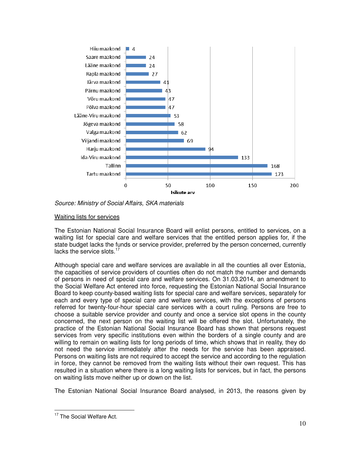

Source: Ministry of Social Affairs, SKA materials

# Waiting lists for services

The Estonian National Social Insurance Board will enlist persons, entitled to services, on a waiting list for special care and welfare services that the entitled person applies for, if the state budget lacks the funds or service provider, preferred by the person concerned, currently lacks the service slots.<sup>17</sup>

Although special care and welfare services are available in all the counties all over Estonia, the capacities of service providers of counties often do not match the number and demands of persons in need of special care and welfare services. On 31.03.2014, an amendment to the Social Welfare Act entered into force, requesting the Estonian National Social Insurance Board to keep county-based waiting lists for special care and welfare services, separately for each and every type of special care and welfare services, with the exceptions of persons referred for twenty-four-hour special care services with a court ruling. Persons are free to choose a suitable service provider and county and once a service slot opens in the county concerned, the next person on the waiting list will be offered the slot. Unfortunately, the practice of the Estonian National Social Insurance Board has shown that persons request services from very specific institutions even within the borders of a single county and are willing to remain on waiting lists for long periods of time, which shows that in reality, they do not need the service immediately after the needs for the service has been appraised. Persons on waiting lists are not required to accept the service and according to the regulation in force, they cannot be removed from the waiting lists without their own request. This has resulted in a situation where there is a long waiting lists for services, but in fact, the persons on waiting lists move neither up or down on the list.

The Estonian National Social Insurance Board analysed, in 2013, the reasons given by

<sup>&</sup>lt;sup>17</sup> The Social Welfare Act.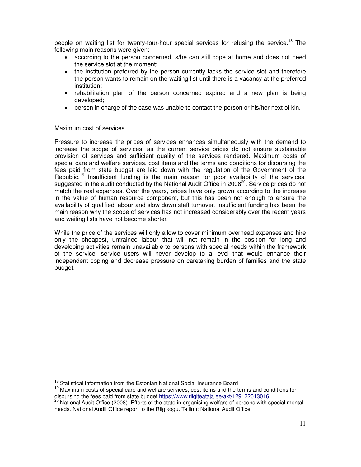people on waiting list for twenty-four-hour special services for refusing the service.<sup>18</sup> The following main reasons were given:

- according to the person concerned, s/he can still cope at home and does not need the service slot at the moment;
- the institution preferred by the person currently lacks the service slot and therefore the person wants to remain on the waiting list until there is a vacancy at the preferred institution;
- rehabilitation plan of the person concerned expired and a new plan is being developed;
- person in charge of the case was unable to contact the person or his/her next of kin.

### Maximum cost of services

 $\overline{a}$ 

Pressure to increase the prices of services enhances simultaneously with the demand to increase the scope of services, as the current service prices do not ensure sustainable provision of services and sufficient quality of the services rendered. Maximum costs of special care and welfare services, cost items and the terms and conditions for disbursing the fees paid from state budget are laid down with the regulation of the Government of the Republic.<sup>19</sup> Insufficient funding is the main reason for poor availability of the services, suggested in the audit conducted by the National Audit Office in 2008<sup>20</sup>. Service prices do not match the real expenses. Over the years, prices have only grown according to the increase in the value of human resource component, but this has been not enough to ensure the availability of qualified labour and slow down staff turnover. Insufficient funding has been the main reason why the scope of services has not increased considerably over the recent years and waiting lists have not become shorter.

While the price of the services will only allow to cover minimum overhead expenses and hire only the cheapest, untrained labour that will not remain in the position for long and developing activities remain unavailable to persons with special needs within the framework of the service, service users will never develop to a level that would enhance their independent coping and decrease pressure on caretaking burden of families and the state budget.

<sup>&</sup>lt;sup>18</sup> Statistical information from the Estonian National Social Insurance Board

<sup>&</sup>lt;sup>19</sup> Maximum costs of special care and welfare services, cost items and the terms and conditions for disbursing the fees paid from state budget https://www.riigiteataja.ee/akt/129122013016

<sup>&</sup>lt;sup>20</sup> National Audit Office (2008). Efforts of the state in organising welfare of persons with special mental needs. National Audit Office report to the Riigikogu. Tallinn: National Audit Office.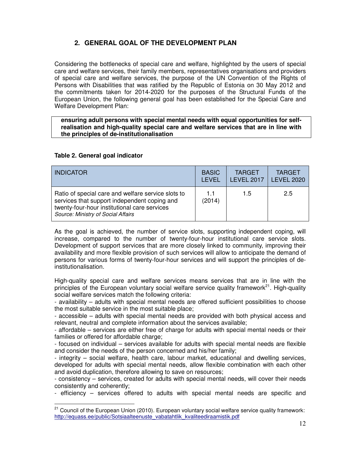# **2. GENERAL GOAL OF THE DEVELOPMENT PLAN**

Considering the bottlenecks of special care and welfare, highlighted by the users of special care and welfare services, their family members, representatives organisations and providers of special care and welfare services, the purpose of the UN Convention of the Rights of Persons with Disabilities that was ratified by the Republic of Estonia on 30 May 2012 and the commitments taken for 2014-2020 for the purposes of the Structural Funds of the European Union, the following general goal has been established for the Special Care and Welfare Development Plan:

**ensuring adult persons with special mental needs with equal opportunities for selfrealisation and high-quality special care and welfare services that are in line with the principles of de-institutionalisation** 

# **Table 2. General goal indicator**

 $\overline{a}$ 

| <b>INDICATOR</b>                                                                                                                                                                         | <b>BASIC</b>  | <b>TARGET</b>     | <b>TARGET</b>     |
|------------------------------------------------------------------------------------------------------------------------------------------------------------------------------------------|---------------|-------------------|-------------------|
|                                                                                                                                                                                          | <b>I FVFI</b> | <b>LEVEL 2017</b> | <b>LEVEL 2020</b> |
| Ratio of special care and welfare service slots to<br>services that support independent coping and<br>twenty-four-hour institutional care services<br>Source: Ministry of Social Affairs | 11<br>(2014)  | 1.5               | 2.5               |

As the goal is achieved, the number of service slots, supporting independent coping, will increase, compared to the number of twenty-four-hour institutional care service slots. Development of support services that are more closely linked to community, improving their availability and more flexible provision of such services will allow to anticipate the demand of persons for various forms of twenty-four-hour services and will support the principles of deinstitutionalisation.

High-quality special care and welfare services means services that are in line with the principles of the European voluntary social welfare service quality framework<sup>21</sup>. High-quality social welfare services match the following criteria:

- availability – adults with special mental needs are offered sufficient possibilities to choose the most suitable service in the most suitable place;

- accessible – adults with special mental needs are provided with both physical access and relevant, neutral and complete information about the services available;

- affordable – services are either free of charge for adults with special mental needs or their families or offered for affordable charge;

- focused on individual – services available for adults with special mental needs are flexible and consider the needs of the person concerned and his/her family;

- integrity – social welfare, health care, labour market, educational and dwelling services, developed for adults with special mental needs, allow flexible combination with each other and avoid duplication, therefore allowing to save on resources;

- consistency – services, created for adults with special mental needs, will cover their needs consistently and coherently;

- efficiency – services offered to adults with special mental needs are specific and

 $21$  Council of the European Union (2010). European voluntary social welfare service quality framework: http://equass.ee/public/Sotsiaalteenuste\_vabatahtlik\_kvaliteediraamistik.pdf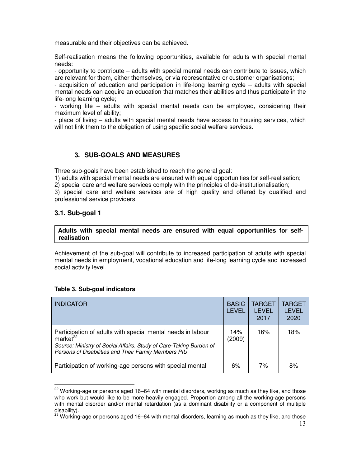measurable and their objectives can be achieved.

Self-realisation means the following opportunities, available for adults with special mental needs:

- opportunity to contribute – adults with special mental needs can contribute to issues, which are relevant for them, either themselves, or via representative or customer organisations;

- acquisition of education and participation in life-long learning cycle – adults with special mental needs can acquire an education that matches their abilities and thus participate in the life-long learning cycle;

- working life – adults with special mental needs can be employed, considering their maximum level of ability;

- place of living – adults with special mental needs have access to housing services, which will not link them to the obligation of using specific social welfare services.

# **3. SUB-GOALS AND MEASURES**

Three sub-goals have been established to reach the general goal:

1) adults with special mental needs are ensured with equal opportunities for self-realisation;

2) special care and welfare services comply with the principles of de-institutionalisation;

3) special care and welfare services are of high quality and offered by qualified and professional service providers.

# **3.1. Sub-goal 1**

 $\overline{a}$ 

### **Adults with special mental needs are ensured with equal opportunities for selfrealisation**

Achievement of the sub-goal will contribute to increased participation of adults with special mental needs in employment, vocational education and life-long learning cycle and increased social activity level.

### **Table 3. Sub-goal indicators**

| <b>INDICATOR</b>                                                                                                                                                                                            | <b>BASIC</b><br>LEVEL | TARGET<br>I FVFI.<br>2017 | TARGET<br>LEVEL<br>2020 |
|-------------------------------------------------------------------------------------------------------------------------------------------------------------------------------------------------------------|-----------------------|---------------------------|-------------------------|
| Participation of adults with special mental needs in labour<br>market $^{22}$<br>Source: Ministry of Social Affairs. Study of Care-Taking Burden of<br>Persons of Disabilities and Their Family Members PIU | 14%<br>(2009)         | 16%                       | 18%                     |
| Participation of working-age persons with special mental                                                                                                                                                    | 6%                    | 7%                        | 8%                      |

<sup>&</sup>lt;sup>22</sup> Working-age or persons aged 16–64 with mental disorders, working as much as they like, and those who work but would like to be more heavily engaged. Proportion among all the working-age persons with mental disorder and/or mental retardation (as a dominant disability or a component of multiple disability).

 $^{23}$  Working-age or persons aged 16–64 with mental disorders, learning as much as they like, and those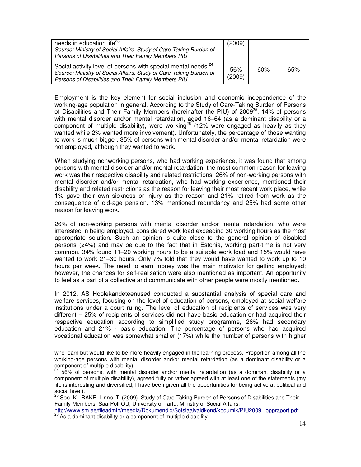| needs in education life <sup>23</sup><br>Source: Ministry of Social Affairs. Study of Care-Taking Burden of<br>Persons of Disabilities and Their Family Members PIU                                    | (2009)        |     |     |
|--------------------------------------------------------------------------------------------------------------------------------------------------------------------------------------------------------|---------------|-----|-----|
| Social activity level of persons with special mental needs <sup>24</sup><br>Source: Ministry of Social Affairs. Study of Care-Taking Burden of<br>Persons of Disabilities and Their Family Members PIU | 56%<br>(2009) | 60% | 65% |

Employment is the key element for social inclusion and economic independence of the working-age population in general. According to the Study of Care-Taking Burden of Persons of Disabilities and Their Family Members (hereinafter the PIU) of 2009 $^{25}$ , 14% of persons with mental disorder and/or mental retardation, aged 16–64 (as a dominant disability or a component of multiple disability), were working<sup>26</sup> (12% were engaged as heavily as they wanted while 2% wanted more involvement). Unfortunately, the percentage of those wanting to work is much bigger. 35% of persons with mental disorder and/or mental retardation were not employed, although they wanted to work.

When studying nonworking persons, who had working experience, it was found that among persons with mental disorder and/or mental retardation, the most common reason for leaving work was their respective disability and related restrictions. 26% of non-working persons with mental disorder and/or mental retardation, who had working experience, mentioned their disability and related restrictions as the reason for leaving their most recent work place, while 1% gave their own sickness or injury as the reason and 21% retired from work as the consequence of old-age pension. 13% mentioned redundancy and 25% had some other reason for leaving work.

26% of non-working persons with mental disorder and/or mental retardation, who were interested in being employed, considered work load exceeding 30 working hours as the most appropriate solution. Such an opinion is quite close to the general opinion of disabled persons (24%) and may be due to the fact that in Estonia, working part-time is not very common. 34% found 11–20 working hours to be a suitable work load and 15% would have wanted to work 21–30 hours. Only 7% told that they would have wanted to work up to 10 hours per week. The need to earn money was the main motivator for getting employed; however, the chances for self-realisation were also mentioned as important. An opportunity to feel as a part of a collective and communicate with other people were mostly mentioned.

In 2012, AS Hoolekandeteenused conducted a substantial analysis of special care and welfare services, focusing on the level of education of persons, employed at social welfare institutions under a court ruling. The level of education of recipients of services was very different – 25% of recipients of services did not have basic education or had acquired their respective education according to simplified study programme, 26% had secondary education and 21% - basic education. The percentage of persons who had acquired vocational education was somewhat smaller (17%) while the number of persons with higher

 $\overline{a}$ 

 $^{25}$  Soo, K., RAKE, Linno, T. (2009). Study of Care-Taking Burden of Persons of Disabilities and Their Family Members. SaarPoll OÜ, University of Tartu, Ministry of Social Affairs.

http://www.sm.ee/fileadmin/meedia/Dokumendid/Sotsiaalvaldkond/kogumik/PIU2009\_loppraport.pdf  $\beta$  As a dominant disability or a component of multiple disability.

who learn but would like to be more heavily engaged in the learning process. Proportion among all the working-age persons with mental disorder and/or mental retardation (as a dominant disability or a component of multiple disability).

<sup>56%</sup> of persons, with mental disorder and/or mental retardation (as a dominant disability or a component of multiple disability), agreed fully or rather agreed with at least one of the statements (my life is interesting and diversified; I have been given all the opportunities for being active at political and social level).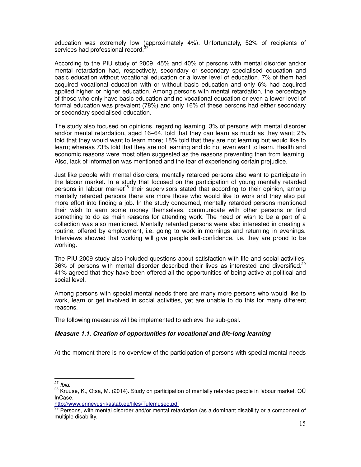education was extremely low (approximately 4%). Unfortunately, 52% of recipients of services had professional record.<sup>2</sup>

According to the PIU study of 2009, 45% and 40% of persons with mental disorder and/or mental retardation had, respectively, secondary or secondary specialised education and basic education without vocational education or a lower level of education. 7% of them had acquired vocational education with or without basic education and only 6% had acquired applied higher or higher education. Among persons with mental retardation, the percentage of those who only have basic education and no vocational education or even a lower level of formal education was prevalent (78%) and only 16% of these persons had either secondary or secondary specialised education.

The study also focused on opinions, regarding learning. 3% of persons with mental disorder and/or mental retardation, aged 16–64, told that they can learn as much as they want; 2% told that they would want to learn more; 18% told that they are not learning but would like to learn; whereas 73% told that they are not learning and do not even want to learn. Health and economic reasons were most often suggested as the reasons preventing then from learning. Also, lack of information was mentioned and the fear of experiencing certain prejudice.

Just like people with mental disorders, mentally retarded persons also want to participate in the labour market. In a study that focused on the participation of young mentally retarded persons in labour market<sup>28</sup> their supervisors stated that according to their opinion, among mentally retarded persons there are more those who would like to work and they also put more effort into finding a job. In the study concerned, mentally retarded persons mentioned their wish to earn some money themselves, communicate with other persons or find something to do as main reasons for attending work. The need or wish to be a part of a collection was also mentioned. Mentally retarded persons were also interested in creating a routine, offered by employment, i.e. going to work in mornings and returning in evenings. Interviews showed that working will give people self-confidence, i.e. they are proud to be working.

The PIU 2009 study also included questions about satisfaction with life and social activities. 36% of persons with mental disorder described their lives as interested and diversified.<sup>29</sup> 41% agreed that they have been offered all the opportunities of being active at political and social level.

Among persons with special mental needs there are many more persons who would like to work, learn or get involved in social activities, yet are unable to do this for many different reasons.

The following measures will be implemented to achieve the sub-goal.

### **Measure 1.1. Creation of opportunities for vocational and life-long learning**

At the moment there is no overview of the participation of persons with special mental needs

 $27$  Ibid.

<sup>&</sup>lt;sup>28</sup> Kruuse, K., Otsa, M. (2014). Study on participation of mentally retarded people in labour market. OÜ InCase.

http://www.erinevusrikastab.ee/files/Tulemused.pdf

<sup>&</sup>lt;sup>29</sup> Persons, with mental disorder and/or mental retardation (as a dominant disability or a component of multiple disability.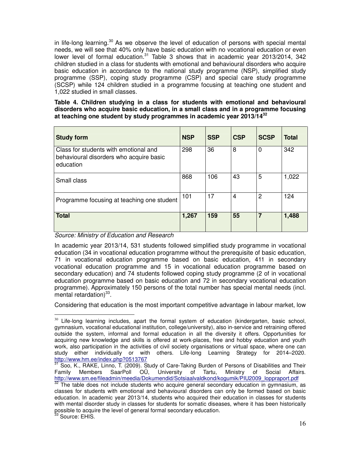in life-long learning.<sup>30</sup> As we observe the level of education of persons with special mental needs, we will see that 40% only have basic education with no vocational education or even lower level of formal education. $31$  Table 3 shows that in academic year 2013/2014, 342 children studied in a class for students with emotional and behavioural disorders who acquire basic education in accordance to the national study programme (NSP), simplified study programme (SSP), coping study programme (CSP) and special care study programme (SCSP) while 124 children studied in a programme focusing at teaching one student and 1,022 studied in small classes.

### **Table 4. Children studying in a class for students with emotional and behavioural disorders who acquire basic education, in a small class and in a programme focusing at teaching one student by study programmes in academic year 2013/14<sup>32</sup>**

| <b>Study form</b>                                                                             | <b>NSP</b> | <b>SSP</b> | <b>CSP</b> | <b>SCSP</b> | Total |
|-----------------------------------------------------------------------------------------------|------------|------------|------------|-------------|-------|
| Class for students with emotional and<br>behavioural disorders who acquire basic<br>education | 298        | 36         | 8          | 0           | 342   |
| Small class                                                                                   | 868        | 106        | 43         | 5           | 1,022 |
| Programme focusing at teaching one student                                                    | 101        | 17         | 4          | 2           | 124   |
| <b>Total</b>                                                                                  | 1,267      | 159        | 55         | 7           | 1,488 |

Source: Ministry of Education and Research

 $\overline{a}$ 

In academic year 2013/14, 531 students followed simplified study programme in vocational education (34 in vocational education programme without the prerequisite of basic education, 71 in vocational education programme based on basic education, 411 in secondary vocational education programme and 15 in vocational education programme based on secondary education) and 74 students followed coping study programme (2 of in vocational education programme based on basic education and 72 in secondary vocational education programme). Approximately 150 persons of the total number has special mental needs (incl.  $m$ ental retardation) $^{33}$ .

Considering that education is the most important competitive advantage in labour market, low

 $30$  Life-long learning includes, apart the formal system of education (kindergarten, basic school, gymnasium, vocational educational institution, college/university), also in-service and retraining offered outside the system, informal and formal education in all the diversity it offers. Opportunities for acquiring new knowledge and skills is offered at work-places, free and hobby education and youth work, also participation in the activities of civil society organisations or virtual space, where one can study either individually or with others. Life-long Learning Strategy for 2014–2020. http://www.hm.ee/index.php?0513767

 $31$  Soo, K., RAKE, Linno, T. (2009). Study of Care-Taking Burden of Persons of Disabilities and Their Family Members SaarPoll OÜ, University of Tartu, Ministry of Social Affairs. http://www.sm.ee/fileadmin/meedia/Dokumendid/Sotsiaalvaldkond/kogumik/PIU2009\_loppraport.pdf

The table does not include students who acquire general secondary education in gymnasium, as classes for students with emotional and behavioural disorders can only be formed based on basic education. In academic year 2013/14, students who acquired their education in classes for students with mental disorder study in classes for students for somatic diseases, where it has been historically possible to acquire the level of general formal secondary education.  $3$  Source: EHIS.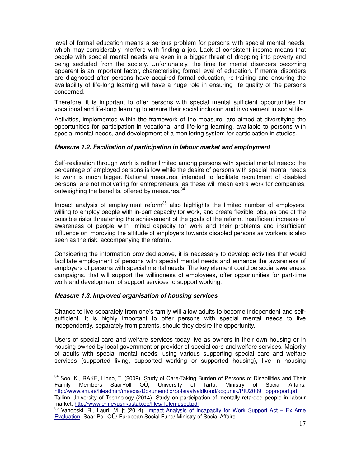level of formal education means a serious problem for persons with special mental needs, which may considerably interfere with finding a job. Lack of consistent income means that people with special mental needs are even in a bigger threat of dropping into poverty and being secluded from the society. Unfortunately, the time for mental disorders becoming apparent is an important factor, characterising formal level of education. If mental disorders are diagnosed after persons have acquired formal education, re-training and ensuring the availability of life-long learning will have a huge role in ensuring life quality of the persons concerned.

Therefore, it is important to offer persons with special mental sufficient opportunities for vocational and life-long learning to ensure their social inclusion and involvement in social life.

Activities, implemented within the framework of the measure, are aimed at diversifying the opportunities for participation in vocational and life-long learning, available to persons with special mental needs, and development of a monitoring system for participation in studies.

### **Measure 1.2. Facilitation of participation in labour market and employment**

Self-realisation through work is rather limited among persons with special mental needs: the percentage of employed persons is low while the desire of persons with special mental needs to work is much bigger. National measures, intended to facilitate recruitment of disabled persons, are not motivating for entrepreneurs, as these will mean extra work for companies, outweighing the benefits, offered by measures.<sup>34</sup>

Impact analysis of employment reform $35$  also highlights the limited number of employers, willing to employ people with in-part capacity for work, and create flexible jobs, as one of the possible risks threatening the achievement of the goals of the reform. Insufficient increase of awareness of people with limited capacity for work and their problems and insufficient influence on improving the attitude of employers towards disabled persons as workers is also seen as the risk, accompanying the reform.

Considering the information provided above, it is necessary to develop activities that would facilitate employment of persons with special mental needs and enhance the awareness of employers of persons with special mental needs. The key element could be social awareness campaigns, that will support the willingness of employees, offer opportunities for part-time work and development of support services to support working.

### **Measure 1.3. Improved organisation of housing services**

 $\overline{a}$ 

Chance to live separately from one's family will allow adults to become independent and selfsufficient. It is highly important to offer persons with special mental needs to live independently, separately from parents, should they desire the opportunity.

Users of special care and welfare services today live as owners in their own housing or in housing owned by local government or provider of special care and welfare services. Majority of adults with special mental needs, using various supporting special care and welfare services (supported living, supported working or supported housing), live in housing

<sup>34</sup> Soo, K., RAKE, Linno, T. (2009). Study of Care-Taking Burden of Persons of Disabilities and Their Family Members SaarPoll OÜ, University of Tartu, Ministry of Social Affairs. http://www.sm.ee/fileadmin/meedia/Dokumendid/Sotsiaalvaldkond/kogumik/PIU2009\_loppraport.pdf

Tallinn University of Technology (2014). Study on participation of mentally retarded people in labour market, http://www.erinevusrikastab.ee/files/Tulemused.pdf

<sup>&</sup>lt;sup>35</sup> Vahopski, R., Lauri, M. jt (2014). <u>Impact Analysis of Incapacity for Work Support Act – Ex Ante</u> Evaluation. Saar Poll OÜ/ European Social Fund/ Ministry of Social Affairs.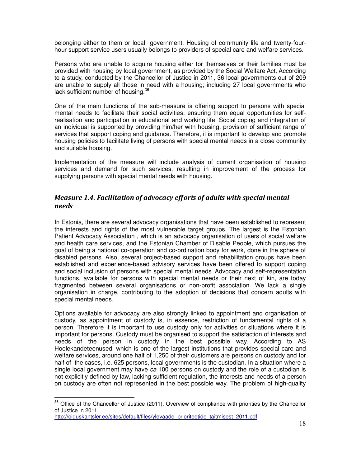belonging either to them or local government. Housing of community life and twenty-fourhour support service users usually belongs to providers of special care and welfare services.

Persons who are unable to acquire housing either for themselves or their families must be provided with housing by local government, as provided by the Social Welfare Act. According to a study, conducted by the Chancellor of Justice in 2011, 36 local governments out of 209 are unable to supply all those in need with a housing; including 27 local governments who lack sufficient number of housing.<sup>36</sup>

One of the main functions of the sub-measure is offering support to persons with special mental needs to facilitate their social activities, ensuring them equal opportunities for selfrealisation and participation in educational and working life. Social coping and integration of an individual is supported by providing him/her with housing, provision of sufficient range of services that support coping and guidance. Therefore, it is important to develop and promote housing policies to facilitate living of persons with special mental needs in a close community and suitable housing.

Implementation of the measure will include analysis of current organisation of housing services and demand for such services, resulting in improvement of the process for supplying persons with special mental needs with housing.

# Measure 1.4. Facilitation of advocacy efforts of adults with special mental needs

In Estonia, there are several advocacy organisations that have been established to represent the interests and rights of the most vulnerable target groups. The largest is the Estonian Patient Advocacy Association , which is an advocacy organisation of users of social welfare and health care services, and the Estonian Chamber of Disable People, which pursues the goal of being a national co-operation and co-ordination body for work, done in the sphere of disabled persons. Also, several project-based support and rehabilitation groups have been established and experience-based advisory services have been offered to support coping and social inclusion of persons with special mental needs. Advocacy and self-representation functions, available for persons with special mental needs or their next of kin, are today fragmented between several organisations or non-profit association. We lack a single organisation in charge, contributing to the adoption of decisions that concern adults with special mental needs.

Options available for advocacy are also strongly linked to appointment and organisation of custody, as appointment of custody is, in essence, restriction of fundamental rights of a person. Therefore it is important to use custody only for activities or situations where it is important for persons. Custody must be organised to support the satisfaction of interests and needs of the person in custody in the best possible way. According to AS Hoolekandeteenused, which is one of the largest institutions that provides special care and welfare services, around one half of 1,250 of their customers are persons on custody and for half of the cases, i.e. 625 persons, local governments is the custodian. In a situation where a single local government may have ca 100 persons on custody and the role of a custodian is not explicitly defined by law, lacking sufficient regulation, the interests and needs of a person on custody are often not represented in the best possible way. The problem of high-quality

 $36$  Office of the Chancellor of Justice (2011). Overview of compliance with priorities by the Chancellor of Justice in 2011.

http://oiguskantsler.ee/sites/default/files/ylevaade\_prioriteetide\_taitmisest\_2011.pdf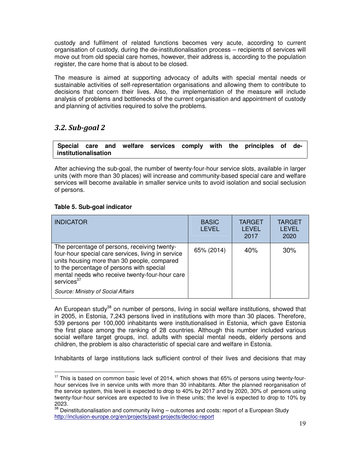custody and fulfilment of related functions becomes very acute, according to current organisation of custody, during the de-institutionalisation process – recipients of services will move out from old special care homes, however, their address is, according to the population register, the care home that is about to be closed.

The measure is aimed at supporting advocacy of adults with special mental needs or sustainable activities of self-representation organisations and allowing them to contribute to decisions that concern their lives. Also, the implementation of the measure will include analysis of problems and bottlenecks of the current organisation and appointment of custody and planning of activities required to solve the problems.

# 3.2. Sub-goal 2

**Special care and welfare services comply with the principles of deinstitutionalisation**

After achieving the sub-goal, the number of twenty-four-hour service slots, available in larger units (with more than 30 places) will increase and community-based special care and welfare services will become available in smaller service units to avoid isolation and social seclusion of persons.

# **Table 5. Sub-goal indicator**

 $\overline{a}$ 

| <b>INDICATOR</b>                                                                                                                                                                                                                                                                                        | <b>BASIC</b><br>LEVEL | <b>TARGET</b><br><b>LEVEL</b><br>2017 | <b>TARGET</b><br><b>LEVEL</b><br>2020 |
|---------------------------------------------------------------------------------------------------------------------------------------------------------------------------------------------------------------------------------------------------------------------------------------------------------|-----------------------|---------------------------------------|---------------------------------------|
| The percentage of persons, receiving twenty-<br>four-hour special care services, living in service<br>units housing more than 30 people, compared<br>to the percentage of persons with special<br>mental needs who receive twenty-four-hour care<br>services $37$<br>Source: Ministry of Social Affairs | 65% (2014)            | 40%                                   | 30%                                   |

An European study<sup>38</sup> on number of persons, living in social welfare institutions, showed that in 2005, in Estonia, 7,243 persons lived in institutions with more than 30 places. Therefore, 539 persons per 100,000 inhabitants were institutionalised in Estonia, which gave Estonia the first place among the ranking of 28 countries. Although this number included various social welfare target groups, incl. adults with special mental needs, elderly persons and children, the problem is also characteristic of special care and welfare in Estonia.

Inhabitants of large institutions lack sufficient control of their lives and decisions that may

 $37$  This is based on common basic level of 2014, which shows that 65% of persons using twenty-fourhour services live in service units with more than 30 inhabitants. After the planned reorganisation of the service system, this level is expected to drop to 40% by 2017 and by 2020, 30% of persons using twenty-four-hour services are expected to live in these units; the level is expected to drop to 10% by 2023.

 $38$  Deinstitutionalisation and community living – outcomes and costs: report of a European Study http://inclusion-europe.org/en/projects/past-projects/decloc-report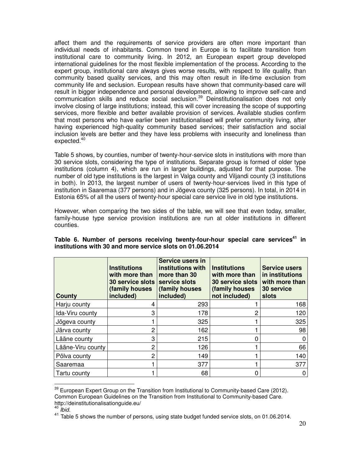affect them and the requirements of service providers are often more important than individual needs of inhabitants. Common trend in Europe is to facilitate transition from institutional care to community living. In 2012, an European expert group developed international guidelines for the most flexible implementation of the process. According to the expert group, institutional care always gives worse results, with respect to life quality, than community based quality services, and this may often result in life-time exclusion from community life and seclusion. European results have shown that community-based care will result in bigger independence and personal development, allowing to improve self-care and communication skills and reduce social seclusion.<sup>39</sup> Deinstitutionalisation does not only involve closing of large institutions; instead, this will cover increasing the scope of supporting services, more flexible and better available provision of services. Available studies confirm that most persons who have earlier been institutionalised will prefer community living, after having experienced high-quality community based services; their satisfaction and social inclusion levels are better and they have less problems with insecurity and loneliness than expected.<sup>40</sup>

Table 5 shows, by counties, number of twenty-hour-service slots in institutions with more than 30 service slots, considering the type of institutions. Separate group is formed of older type institutions (column 4), which are run in larger buildings, adjusted for that purpose. The number of old type institutions is the largest in Valga county and Viljandi county (3 institutions in both). In 2013, the largest number of users of twenty-hour-services lived in this type of institution in Saaremaa (377 persons) and in Jõgeva county (325 persons). In total, in 2014 in Estonia 65% of all the users of twenty-hour special care service live in old type institutions.

However, when comparing the two sides of the table, we will see that even today, smaller, family-house type service provision institutions are run at older institutions in different counties.

| County            | <b>Institutions</b><br>with more than<br><b>30 service slots</b><br>(family houses<br>included) | Service users in<br>institutions with<br>more than 30<br>service slots<br>(family houses<br>included) | <b>Institutions</b><br>with more than<br><b>30 service slots</b><br>(family houses<br>not included) | <b>Service users</b><br>in institutions<br>with more than<br><b>30 service</b><br>slots |
|-------------------|-------------------------------------------------------------------------------------------------|-------------------------------------------------------------------------------------------------------|-----------------------------------------------------------------------------------------------------|-----------------------------------------------------------------------------------------|
| Harju county      |                                                                                                 | 293                                                                                                   |                                                                                                     | 168                                                                                     |
| Ida-Viru county   | 3                                                                                               | 178                                                                                                   | 2                                                                                                   | 120                                                                                     |
| Jõgeva county     |                                                                                                 | 325                                                                                                   |                                                                                                     | 325                                                                                     |
| Järva county      | 2                                                                                               | 162                                                                                                   |                                                                                                     | 98                                                                                      |
| Lääne county      | 3                                                                                               | 215                                                                                                   |                                                                                                     | 0                                                                                       |
| Lääne-Viru county | 2                                                                                               | 126                                                                                                   |                                                                                                     | 66                                                                                      |
| Põlva county      | 2                                                                                               | 149                                                                                                   |                                                                                                     | 140                                                                                     |
| Saaremaa          |                                                                                                 | 377                                                                                                   |                                                                                                     | 377                                                                                     |
| l Tartu countv    |                                                                                                 | 68                                                                                                    | 0                                                                                                   | 0                                                                                       |

### **Table 6. Number of persons receiving twenty-four-hour special care services<sup>41</sup> in institutions with 30 and more service slots on 01.06.2014**

 $39$  European Expert Group on the Transition from Institutional to Community-based Care (2012). Common European Guidelines on the Transition from Institutional to Community-based Care. http://deinstitutionalisationguide.eu/

 $40$  *Ibid.* 

<sup>&</sup>lt;sup>41</sup> Table 5 shows the number of persons, using state budget funded service slots, on 01.06.2014.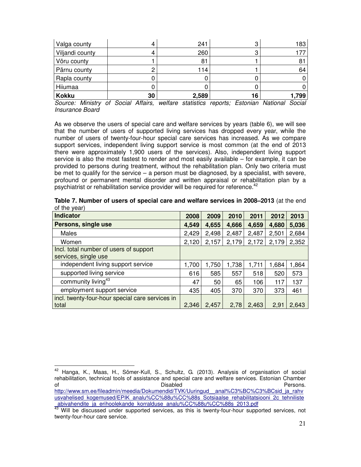| Valga county    |    | 241   | ◠<br>J | 183   |
|-----------------|----|-------|--------|-------|
| Viljandi county |    | 260   | ت      | 177   |
| Võru county     |    | 81    |        | 81    |
| Pärnu county    |    | 114   |        | 64    |
| Rapla county    |    |       |        |       |
| Hiiumaa         |    |       |        |       |
| <b>Kokku</b>    | 30 | 2,589 | 16     | 1,799 |

Source: Ministry of Social Affairs, welfare statistics reports; Estonian National Social Insurance Board

As we observe the users of special care and welfare services by years (table 6), we will see that the number of users of supported living services has dropped every year, while the number of users of twenty-four-hour special care services has increased. As we compare support services, independent living support service is most common (at the end of 2013 there were approximately 1,900 users of the services). Also, independent living support service is also the most fastest to render and most easily available – for example, it can be provided to persons during treatment, without the rehabilitation plan. Only two criteria must be met to qualify for the service  $-$  a person must be diagnosed, by a specialist, with severe, profound or permanent mental disorder and written appraisal or rehabilitation plan by a psychiatrist or rehabilitation service provider will be required for reference.<sup>42</sup>

| or the year)                                    |       |       |       |       |       |       |
|-------------------------------------------------|-------|-------|-------|-------|-------|-------|
| Indicator                                       |       | 2009  | 2010  | 2011  | 2012  | 2013  |
| Persons, single use                             | 4,549 | 4,655 | 4,666 | 4,659 | 4,680 | 5,036 |
| <b>Males</b>                                    | 2,429 | 2,498 | 2,487 | 2,487 | 2,501 | 2,684 |
| Women                                           | 2,120 | 2,157 | 2,179 | 2,172 | 2,179 | 2,352 |
| Incl. total number of users of support          |       |       |       |       |       |       |
| services, single use                            |       |       |       |       |       |       |
| independent living support service              | 1,700 | 1,750 | ,738  | 1,711 | 1,684 | 1,864 |
| supported living service                        | 616   | 585   | 557   | 518   | 520   | 573   |
| community living <sup>43</sup>                  | 47    | 50    | 65    | 106   | 117   | 137   |
| employment support service                      | 435   | 405   | 370   | 370   | 373   | 461   |
| incl. twenty-four-hour special care services in |       |       |       |       |       |       |

total 2,346 2,457 2,78 2,463 2,91 2,643

|              |  |  |  | Table 7. Number of users of special care and welfare services in 2008–2013 (at the end |  |
|--------------|--|--|--|----------------------------------------------------------------------------------------|--|
| of the year) |  |  |  |                                                                                        |  |

<sup>42</sup> Hanga, K., Maas, H., Sõmer-Kull, S., Schultz, G. (2013). Analysis of organisation of social rehabilitation, technical tools of assistance and special care and welfare services. Estonian Chamber of **Disabled Disabled Contains the Disabled Persons.** http://www.sm.ee/fileadmin/meedia/Dokumendid/TVK/Uuringud\_\_anal%C3%BC%C3%BCsid\_ja\_rahv usvahelised\_kogemused/EPIK\_analu%CC%88u%CC%88s\_Sotsiaalse\_rehabilitatsiooni\_2c\_tehniliste abivahendite\_ja\_erihoolekande\_korralduse\_analu%CC%88u%CC%88s\_2013.pdf

Will be discussed under supported services, as this is twenty-four-hour supported services, not twenty-four-hour care service.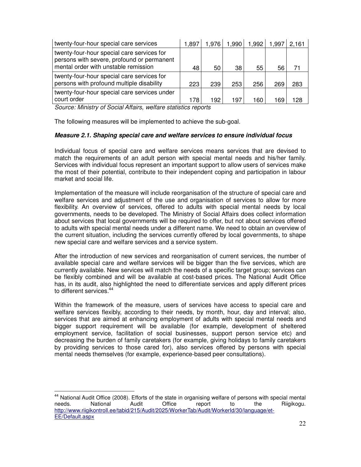| twenty-four-hour special care services                                                                                           | 1.897 | 1,976 | 1,990 | 1,992 | 1,997 | 2.161 |
|----------------------------------------------------------------------------------------------------------------------------------|-------|-------|-------|-------|-------|-------|
| twenty-four-hour special care services for<br>persons with severe, profound or permanent<br>mental order with unstable remission | 48    | 50    | 38    | 55    | 56    |       |
| twenty-four-hour special care services for<br>persons with profound multiple disability                                          | 223   | 239   | 253   | 256   | 269   | 283   |
| twenty-four-hour special care services under<br>court order                                                                      | 178   | 192   | 197   | 160   | 169   | 28    |

Source: Ministry of Social Affairs, welfare statistics reports

The following measures will be implemented to achieve the sub-goal.

### **Measure 2.1. Shaping special care and welfare services to ensure individual focus**

Individual focus of special care and welfare services means services that are devised to match the requirements of an adult person with special mental needs and his/her family. Services with individual focus represent an important support to allow users of services make the most of their potential, contribute to their independent coping and participation in labour market and social life.

Implementation of the measure will include reorganisation of the structure of special care and welfare services and adjustment of the use and organisation of services to allow for more flexibility. An overview of services, offered to adults with special mental needs by local governments, needs to be developed. The Ministry of Social Affairs does collect information about services that local governments will be required to offer, but not about services offered to adults with special mental needs under a different name. We need to obtain an overview of the current situation, including the services currently offered by local governments, to shape new special care and welfare services and a service system.

After the introduction of new services and reorganisation of current services, the number of available special care and welfare services will be bigger than the five services, which are currently available. New services will match the needs of a specific target group; services can be flexibly combined and will be available at cost-based prices. The National Audit Office has, in its audit, also highlighted the need to differentiate services and apply different prices to different services.<sup>44</sup>

Within the framework of the measure, users of services have access to special care and welfare services flexibly, according to their needs, by month, hour, day and interval; also, services that are aimed at enhancing employment of adults with special mental needs and bigger support requirement will be available (for example, development of sheltered employment service, facilitation of social businesses, support person service etc) and decreasing the burden of family caretakers (for example, giving holidays to family caretakers by providing services to those cared for), also services offered by persons with special mental needs themselves (for example, experience-based peer consultations).

<sup>&</sup>lt;sup>44</sup> National Audit Office (2008). Efforts of the state in organising welfare of persons with special mental needs. National Audit Office report to the Riigikogu. http://www.riigikontroll.ee/tabid/215/Audit/2025/WorkerTab/Audit/WorkerId/30/language/et-EE/Default.aspx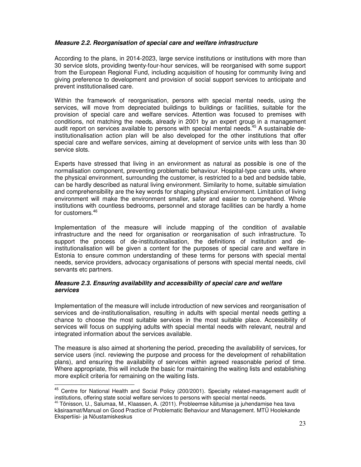### **Measure 2.2. Reorganisation of special care and welfare infrastructure**

According to the plans, in 2014-2023, large service institutions or institutions with more than 30 service slots, providing twenty-four-hour services, will be reorganised with some support from the European Regional Fund, including acquisition of housing for community living and giving preference to development and provision of social support services to anticipate and prevent institutionalised care.

Within the framework of reorganisation, persons with special mental needs, using the services, will move from depreciated buildings to buildings or facilities, suitable for the provision of special care and welfare services. Attention was focused to premises with conditions, not matching the needs, already in 2001 by an expert group in a management audit report on services available to persons with special mental needs.<sup>45</sup> A sustainable deinstitutionalisation action plan will be also developed for the other institutions that offer special care and welfare services, aiming at development of service units with less than 30 service slots.

Experts have stressed that living in an environment as natural as possible is one of the normalisation component, preventing problematic behaviour. Hospital-type care units, where the physical environment, surrounding the customer, is restricted to a bed and bedside table, can be hardly described as natural living environment. Similarity to home, suitable simulation and comprehensibility are the key words for shaping physical environment. Limitation of living environment will make the environment smaller, safer and easier to comprehend. Whole institutions with countless bedrooms, personnel and storage facilities can be hardly a home for customers.<sup>46</sup>

Implementation of the measure will include mapping of the condition of available infrastructure and the need for organisation or reorganisation of such infrastructure. To support the process of de-institutionalisation, the definitions of institution and deinstitutionalisation will be given a content for the purposes of special care and welfare in Estonia to ensure common understanding of these terms for persons with special mental needs, service providers, advocacy organisations of persons with special mental needs, civil servants etc partners.

### **Measure 2.3. Ensuring availability and accessibility of special care and welfare services**

Implementation of the measure will include introduction of new services and reorganisation of services and de-institutionalisation, resulting in adults with special mental needs getting a chance to choose the most suitable services in the most suitable place. Accessibility of services will focus on supplying adults with special mental needs with relevant, neutral and integrated information about the services available.

The measure is also aimed at shortening the period, preceding the availability of services, for service users (incl. reviewing the purpose and process for the development of rehabilitation plans), and ensuring the availability of services within agreed reasonable period of time. Where appropriate, this will include the basic for maintaining the waiting lists and establishing more explicit criteria for remaining on the waiting lists.

<sup>&</sup>lt;sup>45</sup> Centre for National Health and Social Policy (200/2001). Specialty related-management audit of institutions, offering state social welfare services to persons with special mental needs.

<sup>46</sup> Tõnisson, U., Salumaa, M., Klaassen, A. (2011). Probleemse käitumise ja juhendamise hea tava käsiraamat/Manual on Good Practice of Problematic Behaviour and Management. MTÜ Hoolekande Ekspertiisi- ja Nõustamiskeskus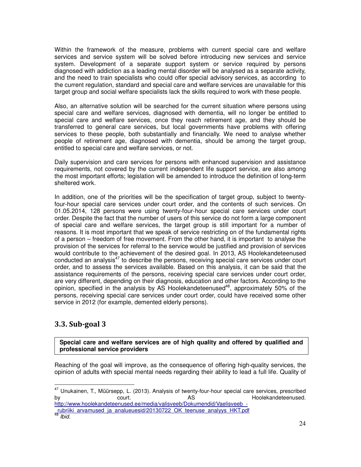Within the framework of the measure, problems with current special care and welfare services and service system will be solved before introducing new services and service system. Development of a separate support system or service required by persons diagnosed with addiction as a leading mental disorder will be analysed as a separate activity, and the need to train specialists who could offer special advisory services, as according to the current regulation, standard and special care and welfare services are unavailable for this target group and social welfare specialists lack the skills required to work with these people.

Also, an alternative solution will be searched for the current situation where persons using special care and welfare services, diagnosed with dementia, will no longer be entitled to special care and welfare services, once they reach retirement age, and they should be transferred to general care services, but local governments have problems with offering services to these people, both substantially and financially. We need to analyse whether people of retirement age, diagnosed with dementia, should be among the target group, entitled to special care and welfare services, or not.

Daily supervision and care services for persons with enhanced supervision and assistance requirements, not covered by the current independent life support service, are also among the most important efforts; legislation will be amended to introduce the definition of long-term sheltered work.

In addition, one of the priorities will be the specification of target group, subject to twentyfour-hour special care services under court order, and the contents of such services. On 01.05.2014, 128 persons were using twenty-four-hour special care services under court order. Despite the fact that the number of users of this service do not form a large component of special care and welfare services, the target group is still important for a number of reasons. It is most important that we speak of service restricting on of the fundamental rights of a person – freedom of free movement. From the other hand, it is important to analyse the provision of the services for referral to the service would be justified and provision of services would contribute to the achievement of the desired goal. In 2013, AS Hoolekandeteenused conducted an analysis<sup>47</sup> to describe the persons, receiving special care services under court order, and to assess the services available. Based on this analysis, it can be said that the assistance requirements of the persons, receiving special care services under court order, are very different, depending on their diagnosis, education and other factors. According to the opinion, specified in the analysis by AS Hoolekandeteenused<sup>48</sup>, approximately 50% of the persons, receiving special care services under court order, could have received some other service in 2012 (for example, demented elderly persons).

# 3.3. Sub-goal 3

 $\overline{a}$ 

**Special care and welfare services are of high quality and offered by qualified and professional service providers**

Reaching of the goal will improve, as the consequence of offering high-quality services, the opinion of adults with special mental needs regarding their ability to lead a full life. Quality of

<sup>47</sup> Unukainen, T., Müürsepp, L. (2013). Analysis of twenty-four-hour special care services, prescribed by court. AS Hoolekandeteenused. http://www.hoolekandeteenused.ee/media/valisveeb/Dokumendid/Vaelisveeb\_-

\_rubriiki\_arvamused\_ja\_analueuesid/20130722\_OK\_teenuse\_analyys\_HKT.pdf  $48$  Ibid.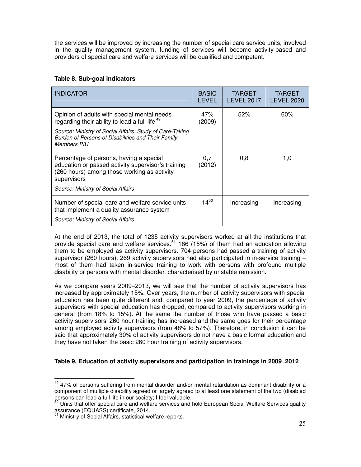the services will be improved by increasing the number of special care service units, involved in the quality management system, funding of services will become activity-based and providers of special care and welfare services will be qualified and competent.

# **Table 8. Sub-goal indicators**

| <b>INDICATOR</b>                                                                                                                                                                                                                                 | <b>BASIC</b><br>LEVEL | <b>TARGET</b><br><b>LEVEL 2017</b> | <b>TARGET</b><br>LEVEL 2020 |
|--------------------------------------------------------------------------------------------------------------------------------------------------------------------------------------------------------------------------------------------------|-----------------------|------------------------------------|-----------------------------|
| Opinion of adults with special mental needs<br>regarding their ability to lead a full life <sup>49</sup><br>Source: Ministry of Social Affairs. Study of Care-Taking<br>Burden of Persons of Disabilities and Their Family<br><b>Members PIU</b> | 47%<br>(2009)         | 52%                                | 60%                         |
| Percentage of persons, having a special<br>education or passed activity supervisor's training<br>(260 hours) among those working as activity<br>supervisors<br>Source: Ministry of Social Affairs                                                | 0.7<br>(2012)         | 0,8                                | 1,0                         |
| Number of special care and welfare service units<br>that implement a quality assurance system<br>Source: Ministry of Social Affairs                                                                                                              | $14^{50}$             | Increasing                         | Increasing                  |

At the end of 2013, the total of 1235 activity supervisors worked at all the institutions that provide special care and welfare services.<sup>51</sup> 186 (15%) of them had an education allowing them to be employed as activity supervisors. 704 persons had passed a training of activity supervisor (260 hours). 269 activity supervisors had also participated in in-service training – most of them had taken in-service training to work with persons with profound multiple disability or persons with mental disorder, characterised by unstable remission.

As we compare years 2009–2013, we will see that the number of activity supervisors has increased by approximately 15%. Over years, the number of activity supervisors with special education has been quite different and, compared to year 2009, the percentage of activity supervisors with special education has dropped, compared to activity supervisors working in general (from 18% to 15%). At the same the number of those who have passed a basic activity supervisors' 260 hour training has increased and the same goes for their percentage among employed activity supervisors (from 48% to 57%). Therefore, in conclusion it can be said that approximately 30% of activity supervisors do not have a basic formal education and they have not taken the basic 260 hour training of activity supervisors.

# **Table 9. Education of activity supervisors and participation in trainings in 2009–2012**

 $49$  47% of persons suffering from mental disorder and/or mental retardation as dominant disability or a component of multiple disability agreed or largely agreed to at least one statement of the two (disabled persons can lead a full life in our society; I feel valuable.

<sup>&</sup>lt;sup>50</sup> Units that offer special care and welfare services and hold European Social Welfare Services quality assurance (EQUASS) certificate, 2014.

Ministry of Social Affairs, statistical welfare reports.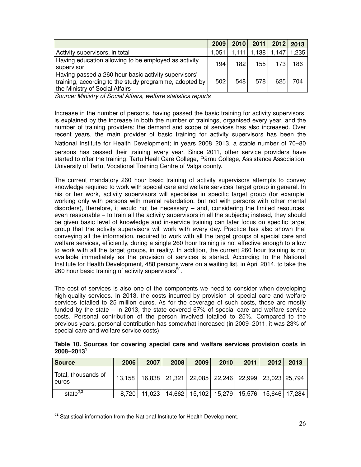|                                                                                                                                                  | 2009  | 2010 |     | 2011 2012 2013                |     |
|--------------------------------------------------------------------------------------------------------------------------------------------------|-------|------|-----|-------------------------------|-----|
| Activity supervisors, in total                                                                                                                   | 1,051 |      |     | 1,111   1,138   1,147   1,235 |     |
| Having education allowing to be employed as activity<br>supervisor                                                                               | 194   | 182  | 155 | 173                           | 186 |
| Having passed a 260 hour basic activity supervisors'<br>training, according to the study programme, adopted by<br>the Ministry of Social Affairs | 502   | 548  | 578 | 625                           | 704 |

Source: Ministry of Social Affairs, welfare statistics reports

Increase in the number of persons, having passed the basic training for activity supervisors, is explained by the increase in both the number of trainings, organised every year, and the number of training providers; the demand and scope of services has also increased. Over recent years, the main provider of basic training for activity supervisors has been the National Institute for Health Development; in years 2008–2013, a stable number of 70–80 persons has passed their training every year. Since 2011, other service providers have started to offer the training: Tartu Healt Care College, Pärnu College, Assistance Association, University of Tartu, Vocational Training Centre of Valga county.

The current mandatory 260 hour basic training of activity supervisors attempts to convey knowledge required to work with special care and welfare services' target group in general. In his or her work, activity supervisors will specialise in specific target group (for example, working only with persons with mental retardation, but not with persons with other mental disorders), therefore, it would not be necessary – and, considering the limited resources, even reasonable – to train all the activity supervisors in all the subjects; instead, they should be given basic level of knowledge and in-service training can later focus on specific target group that the activity supervisors will work with every day. Practice has also shown that conveying all the information, required to work with all the target groups of special care and welfare services, efficiently, during a single 260 hour training is not effective enough to allow to work with all the target groups, in reality. In addition, the current 260 hour training is not available immediately as the provision of services is started. According to the National Institute for Health Development, 488 persons were on a waiting list, in April 2014, to take the 260 hour basic training of activity supervisors $52$ .

The cost of services is also one of the components we need to consider when developing high-quality services. In 2013, the costs incurred by provision of special care and welfare services totalled to 25 million euros. As for the coverage of such costs, these are mostly funded by the state – in 2013, the state covered 67% of special care and welfare service costs. Personal contribution of the person involved totalled to 25%. Compared to the previous years, personal contribution has somewhat increased (in 2009–2011, it was 23% of special care and welfare service costs).

| Table 10. Sources for covering special care and welfare services provision costs in |  |  |  |  |  |
|-------------------------------------------------------------------------------------|--|--|--|--|--|
| $2008 - 2013$ <sup>1</sup>                                                          |  |  |  |  |  |

| <b>Source</b>                | 2006  | 2007                                                                  | 2008 | 2009                                                             | 2010 | 2011 | 2012 | 2013 |
|------------------------------|-------|-----------------------------------------------------------------------|------|------------------------------------------------------------------|------|------|------|------|
| Total, thousands of<br>euros |       | 13,158   16,838   21,321   22,085   22,246   22,999   23,023   25,794 |      |                                                                  |      |      |      |      |
| state $2,3$                  | 8,720 | 11,023                                                                |      | <sup>1</sup> 14,662   15,102   15,279   15,576   15,646   17,284 |      |      |      |      |

 $52$  Statistical information from the National Institute for Health Development.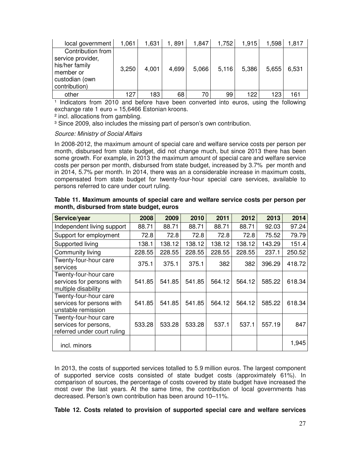| local government                                                                                         | 1,061 | 1,631 | 1,891 | 1,847 | 1,752 | 1,915 | 1,598 | 1.817 |
|----------------------------------------------------------------------------------------------------------|-------|-------|-------|-------|-------|-------|-------|-------|
| Contribution from<br>service provider,<br>his/her family<br>member or<br>custodian (own<br>contribution) | 3,250 | 4,001 | 4,699 | 5,066 | 5,116 | 5,386 | 5.655 | 6,531 |
| other                                                                                                    | 127   | 183   | 68    | 70    | 99    | 122   | 123   | 161   |

<sup>1</sup> Indicators from 2010 and before have been converted into euros, using the following exchange rate 1 euro = 15,6466 Estonian kroons.

² incl. allocations from gambling.

<sup>3</sup> Since 2009, also includes the missing part of person's own contribution.

### Source: Ministry of Social Affairs

In 2008-2012, the maximum amount of special care and welfare service costs per person per month, disbursed from state budget, did not change much, but since 2013 there has been some growth. For example, in 2013 the maximum amount of special care and welfare service costs per person per month, disbursed from state budget, increased by 3.7% per month and in 2014, 5.7% per month. In 2014, there was an a considerable increase in maximum costs, compensated from state budget for twenty-four-hour special care services, available to persons referred to care under court ruling.

| Service/year                                                                  | 2008   | 2009   | 2010   | 2011   | 2012   | 2013   | 2014   |
|-------------------------------------------------------------------------------|--------|--------|--------|--------|--------|--------|--------|
| Independent living support                                                    | 88.71  | 88.71  | 88.71  | 88.71  | 88.71  | 92.03  | 97.24  |
| Support for employment                                                        | 72.8   | 72.8   | 72.8   | 72.8   | 72.8   | 75.52  | 79.79  |
| Supported living                                                              | 138.1  | 138.12 | 138.12 | 138.12 | 138.12 | 143.29 | 151.4  |
| Community living                                                              | 228.55 | 228.55 | 228.55 | 228.55 | 228.55 | 237.1  | 250.52 |
| Twenty-four-hour care<br>services                                             | 375.1  | 375.1  | 375.1  | 382    | 382    | 396.29 | 418.72 |
| Twenty-four-hour care<br>services for persons with<br>multiple disability     | 541.85 | 541.85 | 541.85 | 564.12 | 564.12 | 585.22 | 618.34 |
| Twenty-four-hour care<br>services for persons with<br>unstable remission      | 541.85 | 541.85 | 541.85 | 564.12 | 564.12 | 585.22 | 618.34 |
| Twenty-four-hour care<br>services for persons,<br>referred under court ruling | 533.28 | 533.28 | 533.28 | 537.1  | 537.1  | 557.19 | 847    |
| incl. minors                                                                  |        |        |        |        |        |        | 1,945  |

**Table 11. Maximum amounts of special care and welfare service costs per person per month, disbursed from state budget, euros** 

In 2013, the costs of supported services totalled to 5.9 million euros. The largest component of supported service costs consisted of state budget costs (approximately 61%). In comparison of sources, the percentage of costs covered by state budget have increased the most over the last years. At the same time, the contribution of local governments has decreased. Person's own contribution has been around 10–11%.

**Table 12. Costs related to provision of supported special care and welfare services**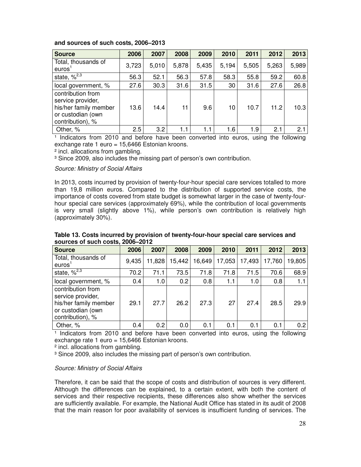| <b>Source</b>                                                                                            | 2006  | 2007  | 2008  | 2009  | 2010  | 2011  | 2012  | 2013  |
|----------------------------------------------------------------------------------------------------------|-------|-------|-------|-------|-------|-------|-------|-------|
| Total, thousands of<br>euros                                                                             | 3,723 | 5,010 | 5,878 | 5,435 | 5,194 | 5,505 | 5,263 | 5,989 |
| state, $\frac{2^{2,3}}{3}$                                                                               | 56.3  | 52.1  | 56.3  | 57.8  | 58.3  | 55.8  | 59.2  | 60.8  |
| local government, %                                                                                      | 27.6  | 30.3  | 31.6  | 31.5  | 30    | 31.6  | 27.6  | 26.8  |
| contribution from<br>service provider,<br>his/her family member<br>or custodian (own<br>contribution), % | 13.6  | 14.4  | 11    | 9.6   | 10    | 10.7  | 11.2  | 10.3  |
| Other, %                                                                                                 | 2.5   | 3.2   | 1.1   | 1.1   | 1.6   | 1.9   | 2.1   | 2.1   |

### **and sources of such costs, 2006–2013**

<sup>1</sup> Indicators from 2010 and before have been converted into euros, using the following exchange rate 1 euro = 15,6466 Estonian kroons.

² incl. allocations from gambling.

<sup>3</sup> Since 2009, also includes the missing part of person's own contribution.

### Source: Ministry of Social Affairs

In 2013, costs incurred by provision of twenty-four-hour special care services totalled to more than 19,8 million euros. Compared to the distribution of supported service costs, the importance of costs covered from state budget is somewhat larger in the case of twenty-fourhour special care services (approximately 69%), while the contribution of local governments is very small (slightly above 1%), while person's own contribution is relatively high (approximately 30%).

| <b>Source</b>                                                                                            | 2006  | 2007   | 2008   | 2009   | 2010   | 2011   | 2012   | 2013             |  |  |  |
|----------------------------------------------------------------------------------------------------------|-------|--------|--------|--------|--------|--------|--------|------------------|--|--|--|
| Total, thousands of<br>euros <sup>'</sup>                                                                | 9,435 | 11,828 | 15,442 | 16,649 | 17,053 | 17,493 | 17,760 | 19,805           |  |  |  |
| state, $\sqrt[2]{3}$                                                                                     | 70.2  | 71.1   | 73.5   | 71.8   | 71.8   | 71.5   | 70.6   | 68.9             |  |  |  |
| local government, %                                                                                      | 0.4   | 1.0    | 0.2    | 0.8    | 1.1    | 1.0    | 0.8    | 1.1              |  |  |  |
| contribution from<br>service provider,<br>his/her family member<br>or custodian (own<br>contribution), % | 29.1  | 27.7   | 26.2   | 27.3   | 27     | 27.4   | 28.5   | 29.9             |  |  |  |
| Other, %                                                                                                 | 0.4   | 0.2    | 0.0    | 0.1    | 0.1    | 0.1    | 0.1    | 0.2 <sub>0</sub> |  |  |  |

### **Table 13. Costs incurred by provision of twenty-four-hour special care services and sources of such costs, 2006–2012**

<sup>1</sup> Indicators from 2010 and before have been converted into euros, using the following exchange rate 1 euro = 15,6466 Estonian kroons.

² incl. allocations from gambling.

<sup>3</sup> Since 2009, also includes the missing part of person's own contribution.

### Source: Ministry of Social Affairs

Therefore, it can be said that the scope of costs and distribution of sources is very different. Although the differences can be explained, to a certain extent, with both the content of services and their respective recipients, these differences also show whether the services are sufficiently available. For example, the National Audit Office has stated in its audit of 2008 that the main reason for poor availability of services is insufficient funding of services. The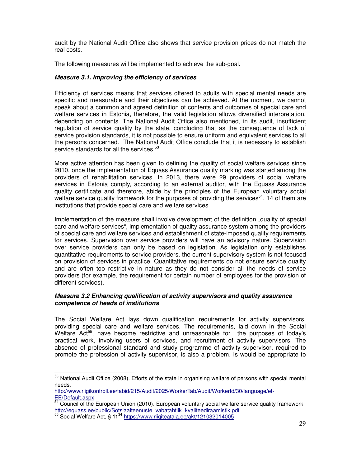audit by the National Audit Office also shows that service provision prices do not match the real costs.

The following measures will be implemented to achieve the sub-goal.

### **Measure 3.1. Improving the efficiency of services**

Efficiency of services means that services offered to adults with special mental needs are specific and measurable and their objectives can be achieved. At the moment, we cannot speak about a common and agreed definition of contents and outcomes of special care and welfare services in Estonia, therefore, the valid legislation allows diversified interpretation, depending on contents. The National Audit Office also mentioned, in its audit, insufficient regulation of service quality by the state, concluding that as the consequence of lack of service provision standards, it is not possible to ensure uniform and equivalent services to all the persons concerned. The National Audit Office conclude that it is necessary to establish service standards for all the services.<sup>53</sup>

More active attention has been given to defining the quality of social welfare services since 2010, once the implementation of Equass Assurance quality marking was started among the providers of rehabilitation services. In 2013, there were 29 providers of social welfare services in Estonia comply, according to an external auditor, with the Equass Assurance quality certificate and therefore, abide by the principles of the European voluntary social welfare service quality framework for the purposes of providing the services<sup>54</sup>. 14 of them are institutions that provide special care and welfare services.

Implementation of the measure shall involve development of the definition "quality of special" care and welfare services", implementation of quality assurance system among the providers of special care and welfare services and establishment of state-imposed quality requirements for services. Supervision over service providers will have an advisory nature. Supervision over service providers can only be based on legislation. As legislation only establishes quantitative requirements to service providers, the current supervisory system is not focused on provision of services in practice. Quantitative requirements do not ensure service quality and are often too restrictive in nature as they do not consider all the needs of service providers (for example, the requirement for certain number of employees for the provision of different services).

### **Measure 3.2 Enhancing qualification of activity supervisors and quality assurance competence of heads of institutions**

The Social Welfare Act lays down qualification requirements for activity supervisors, providing special care and welfare services. The requirements, laid down in the Social Welfare  $Act^{55}$ , have become restrictive and unreasonable for the purposes of today's practical work, involving users of services, and recruitment of activity supervisors. The absence of professional standard and study programme of activity supervisor, required to promote the profession of activity supervisor, is also a problem. Is would be appropriate to

<sup>&</sup>lt;sup>53</sup> National Audit Office (2008). Efforts of the state in organising welfare of persons with special mental needs.

http://www.riigikontroll.ee/tabid/215/Audit/2025/WorkerTab/Audit/WorkerId/30/language/et-EE/Default.aspx

 $54$  Council of the European Union (2010). European voluntary social welfare service quality framework http://equass.ee/public/Sotsiaalteenuste\_vabatahtlik\_kvaliteediraamistik.pdf

<sup>55</sup> Social Welfare Act, § 11<sup>34</sup> https://www.riigiteataja.ee/akt/121032014005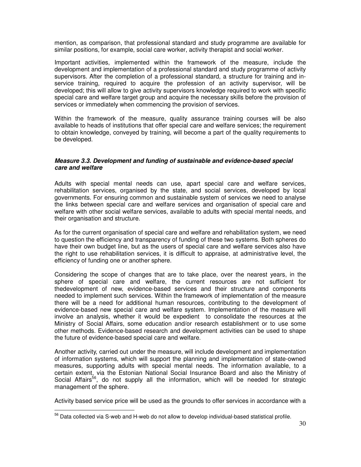mention, as comparison, that professional standard and study programme are available for similar positions, for example, social care worker, activity therapist and social worker.

Important activities, implemented within the framework of the measure, include the development and implementation of a professional standard and study programme of activity supervisors. After the completion of a professional standard, a structure for training and inservice training, required to acquire the profession of an activity supervisor, will be developed; this will allow to give activity supervisors knowledge required to work with specific special care and welfare target group and acquire the necessary skills before the provision of services or immediately when commencing the provision of services.

Within the framework of the measure, quality assurance training courses will be also available to heads of institutions that offer special care and welfare services; the requirement to obtain knowledge, conveyed by training, will become a part of the quality requirements to be developed.

### **Measure 3.3. Development and funding of sustainable and evidence-based special care and welfare**

Adults with special mental needs can use, apart special care and welfare services, rehabilitation services, organised by the state, and social services, developed by local governments. For ensuring common and sustainable system of services we need to analyse the links between special care and welfare services and organisation of special care and welfare with other social welfare services, available to adults with special mental needs, and their organisation and structure.

As for the current organisation of special care and welfare and rehabilitation system, we need to question the efficiency and transparency of funding of these two systems. Both spheres do have their own budget line, but as the users of special care and welfare services also have the right to use rehabilitation services, it is difficult to appraise, at administrative level, the efficiency of funding one or another sphere.

Considering the scope of changes that are to take place, over the nearest years, in the sphere of special care and welfare, the current resources are not sufficient for thedevelopment of new, evidence-based services and their structure and components needed to implement such services. Within the framework of implementation of the measure there will be a need for additional human resources, contributing to the development of evidence-based new special care and welfare system. Implementation of the measure will involve an analysis, whether it would be expedient to consolidate the resources at the Ministry of Social Affairs, some education and/or research establishment or to use some other methods. Evidence-based research and development activities can be used to shape the future of evidence-based special care and welfare.

Another activity, carried out under the measure, will include development and implementation of information systems, which will support the planning and implementation of state-owned measures, supporting adults with special mental needs. The information available, to a certain extent, via the Estonian National Social Insurance Board and also the Ministry of Social Affairs<sup>56</sup>, do not supply all the information, which will be needed for strategic management of the sphere.

Activity based service price will be used as the grounds to offer services in accordance with a

<sup>&</sup>lt;sup>56</sup> Data collected via S-web and H-web do not allow to develop individual-based statistical profile.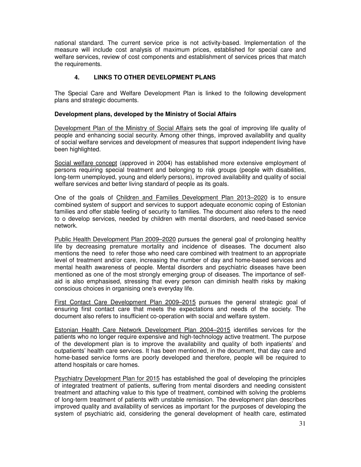national standard. The current service price is not activity-based. Implementation of the measure will include cost analysis of maximum prices, established for special care and welfare services, review of cost components and establishment of services prices that match the requirements.

# **4. LINKS TO OTHER DEVELOPMENT PLANS**

The Special Care and Welfare Development Plan is linked to the following development plans and strategic documents.

### **Development plans, developed by the Ministry of Social Affairs**

Development Plan of the Ministry of Social Affairs sets the goal of improving life quality of people and enhancing social security. Among other things, improved availability and quality of social welfare services and development of measures that support independent living have been highlighted.

Social welfare concept (approved in 2004) has established more extensive employment of persons requiring special treatment and belonging to risk groups (people with disabilities, long-term unemployed, young and elderly persons), improved availability and quality of social welfare services and better living standard of people as its goals.

One of the goals of Children and Families Development Plan 2013–2020 is to ensure combined system of support and services to support adequate economic coping of Estonian families and offer stable feeling of security to families. The document also refers to the need to o develop services, needed by children with mental disorders, and need-based service network.

Public Health Development Plan 2009–2020 pursues the general goal of prolonging healthy life by decreasing premature mortality and incidence of diseases. The document also mentions the need to refer those who need care combined with treatment to an appropriate level of treatment and/or care, increasing the number of day and home-based services and mental health awareness of people. Mental disorders and psychiatric diseases have been mentioned as one of the most strongly emerging group of diseases. The importance of selfaid is also emphasised, stressing that every person can diminish health risks by making conscious choices in organising one's everyday life.

First Contact Care Development Plan 2009–2015 pursues the general strategic goal of ensuring first contact care that meets the expectations and needs of the society. The document also refers to insufficient co-operation with social and welfare system.

Estonian Health Care Network Development Plan 2004–2015 identifies services for the patients who no longer require expensive and high-technology active treatment. The purpose of the development plan is to improve the availability and quality of both inpatients' and outpatients' health care services. It has been mentioned, in the document, that day care and home-based service forms are poorly developed and therefore, people will be required to attend hospitals or care homes.

Psychiatry Development Plan for 2015 has established the goal of developing the principles of integrated treatment of patients, suffering from mental disorders and needing consistent treatment and attaching value to this type of treatment, combined with solving the problems of long-term treatment of patients with unstable remission. The development plan describes improved quality and availability of services as important for the purposes of developing the system of psychiatric aid, considering the general development of health care, estimated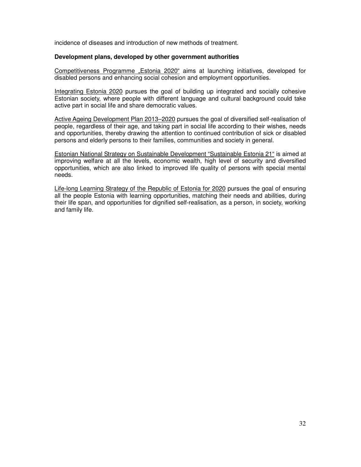incidence of diseases and introduction of new methods of treatment.

### **Development plans, developed by other government authorities**

Competitiveness Programme "Estonia 2020" aims at launching initiatives, developed for disabled persons and enhancing social cohesion and employment opportunities.

Integrating Estonia 2020 pursues the goal of building up integrated and socially cohesive Estonian society, where people with different language and cultural background could take active part in social life and share democratic values.

Active Ageing Development Plan 2013–2020 pursues the goal of diversified self-realisation of people, regardless of their age, and taking part in social life according to their wishes, needs and opportunities, thereby drawing the attention to continued contribution of sick or disabled persons and elderly persons to their families, communities and society in general.

Estonian National Strategy on Sustainable Development "Sustainable Estonia 21" is aimed at improving welfare at all the levels, economic wealth, high level of security and diversified opportunities, which are also linked to improved life quality of persons with special mental needs.

Life-long Learning Strategy of the Republic of Estonia for 2020 pursues the goal of ensuring all the people Estonia with learning opportunities, matching their needs and abilities, during their life span, and opportunities for dignified self-realisation, as a person, in society, working and family life.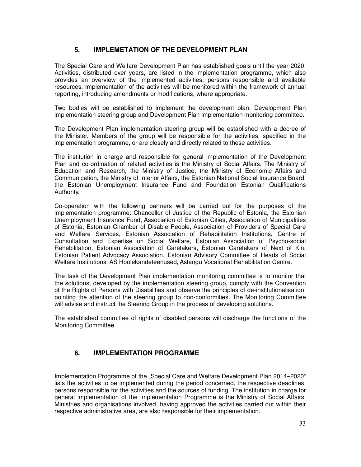# **5. IMPLEMETATION OF THE DEVELOPMENT PLAN**

The Special Care and Welfare Development Plan has established goals until the year 2020. Activities, distributed over years, are listed in the implementation programme, which also provides an overview of the implemented activities, persons responsible and available resources. Implementation of the activities will be monitored within the framework of annual reporting, introducing amendments or modifications, where appropriate.

Two bodies will be established to implement the development plan: Development Plan implementation steering group and Development Plan implementation monitoring committee.

The Development Plan implementation steering group will be established with a decree of the Minister. Members of the group will be responsible for the activities, specified in the implementation programme, or are closely and directly related to these activities.

The institution in charge and responsible for general implementation of the Development Plan and co-ordination of related activities is the Ministry of Social Affairs. The Ministry of Education and Research, the Ministry of Justice, the Ministry of Economic Affairs and Communication, the Ministry of Interior Affairs, the Estonian National Social Insurance Board, the Estonian Unemployment Insurance Fund and Foundation Estonian Qualifications Authority.

Co-operation with the following partners will be carried out for the purposes of the implementation programme: Chancellor of Justice of the Republic of Estonia, the Estonian Unemployment Insurance Fund, Association of Estonian Cities, Association of Municipalities of Estonia, Estonian Chamber of Disable People, Association of Providers of Special Care and Welfare Services, Estonian Association of Rehabilitation Institutions, Centre of Consultation and Expertise on Social Welfare, Estonian Association of Psycho-social Rehabilitation, Estonian Association of Caretakers, Estonian Caretakers of Next of Kin, Estonian Patient Advocacy Association, Estonian Advisory Committee of Heads of Social Welfare Institutions, AS Hoolekandeteenused, Astangu Vocational Rehabilitation Centre.

The task of the Development Plan implementation monitoring committee is to monitor that the solutions, developed by the implementation steering group, comply with the Convention of the Rights of Persons with Disabilities and observe the principles of de-institutionalisation, pointing the attention of the steering group to non-conformities. The Monitoring Committee will advise and instruct the Steering Group in the process of developing solutions.

The established committee of rights of disabled persons will discharge the functions of the Monitoring Committee.

# **6. IMPLEMENTATION PROGRAMME**

Implementation Programme of the "Special Care and Welfare Development Plan 2014–2020" lists the activities to be implemented during the period concerned, the respective deadlines, persons responsible for the activities and the sources of funding. The institution in charge for general implementation of the Implementation Programme is the Ministry of Social Affairs. Ministries and organisations involved, having approved the activities carried out within their respective administrative area, are also responsible for their implementation.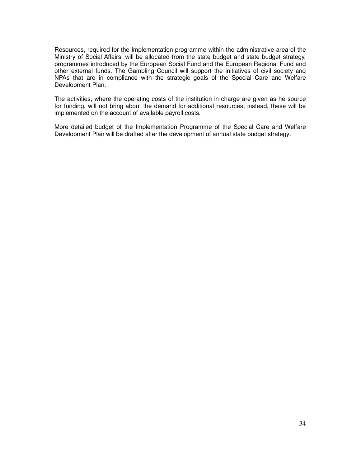Resources, required for the Implementation programme within the administrative area of the Ministry of Social Affairs, will be allocated from the state budget and state budget strategy, programmes introduced by the European Social Fund and the European Regional Fund and other external funds. The Gambling Council will support the initiatives of civil society and NPAs that are in compliance with the strategic goals of the Special Care and Welfare Development Plan.

The activities, where the operating costs of the institution in charge are given as he source for funding, will not bring about the demand for additional resources; instead, these will be implemented on the account of available payroll costs.

More detailed budget of the Implementation Programme of the Special Care and Welfare Development Plan will be drafted after the development of annual state budget strategy.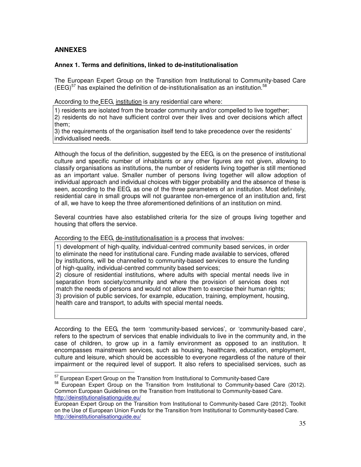# **ANNEXES**

### **Annex 1. Terms and definitions, linked to de-institutionalisation**

The European Expert Group on the Transition from Institutional to Community-based Care (EEG) $57$  has explained the definition of de-institutionalisation as an institution.  $58$ 

According to the EEG, institution is any residential care where:

1) residents are isolated from the broader community and/or compelled to live together; 2) residents do not have sufficient control over their lives and over decisions which affect them;

3) the requirements of the organisation itself tend to take precedence over the residents' individualised needs.

Although the focus of the definition, suggested by the EEG, is on the presence of institutional culture and specific number of inhabitants or any other figures are not given, allowing to classify organisations as institutions, the number of residents living together is still mentioned as an important value. Smaller number of persons living together will allow adoption of individual approach and individual choices with bigger probability and the absence of these is seen, according to the EEG, as one of the three parameters of an institution. Most definitely, residential care in small groups will not guarantee non-emergence of an institution and, first of all, we have to keep the three aforementioned definitions of an institution on mind.

Several countries have also established criteria for the size of groups living together and housing that offers the service.

According to the EEG, de-institutionalisation is a process that involves:

1) development of high-quality, individual-centred community based services, in order to eliminate the need for institutional care. Funding made available to services, offered by institutions, will be channelled to community-based services to ensure the funding of high-quality, individual-centred community based services;

2) closure of residential institutions, where adults with special mental needs live in separation from society/community and where the provision of services does not match the needs of persons and would not allow them to exercise their human rights; 3) provision of public services, for example, education, training, employment, housing, health care and transport, to adults with special mental needs.

According to the EEG, the term 'community-based services', or 'community-based care', refers to the spectrum of services that enable individuals to live in the community and, in the case of children, to grow up in a family environment as opposed to an institution. It encompasses mainstream services, such as housing, healthcare, education, employment, culture and leisure, which should be accessible to everyone regardless of the nature of their impairment or the required level of support. It also refers to specialised services, such as  $\overline{a}$ 

<sup>&</sup>lt;sup>57</sup> European Expert Group on the Transition from Institutional to Community-based Care

<sup>&</sup>lt;sup>58</sup> European Expert Group on the Transition from Institutional to Community-based Care (2012). Common European Guidelines on the Transition from Institutional to Community-based Care. http://deinstitutionalisationguide.eu/

European Expert Group on the Transition from Institutional to Community-based Care (2012). Toolkit on the Use of European Union Funds for the Transition from Institutional to Community-based Care. http://deinstitutionalisationguide.eu/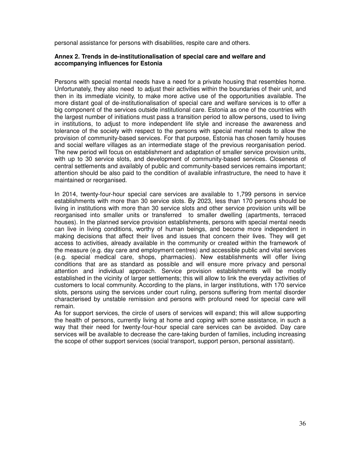personal assistance for persons with disabilities, respite care and others.

### **Annex 2. Trends in de-institutionalisation of special care and welfare and accompanying influences for Estonia**

Persons with special mental needs have a need for a private housing that resembles home. Unfortunately, they also need to adjust their activities within the boundaries of their unit, and then in its immediate vicinity, to make more active use of the opportunities available. The more distant goal of de-institutionalisation of special care and welfare services is to offer a big component of the services outside institutional care. Estonia as one of the countries with the largest number of initiations must pass a transition period to allow persons, used to living in institutions, to adjust to more independent life style and increase the awareness and tolerance of the society with respect to the persons with special mental needs to allow the provision of community-based services. For that purpose, Estonia has chosen family houses and social welfare villages as an intermediate stage of the previous reorganisation period. The new period will focus on establishment and adaptation of smaller service provision units, with up to 30 service slots, and development of community-based services. Closeness of central settlements and availably of public and community-based services remains important; attention should be also paid to the condition of available infrastructure, the need to have it maintained or reorganised.

In 2014, twenty-four-hour special care services are available to 1,799 persons in service establishments with more than 30 service slots. By 2023, less than 170 persons should be living in institutions with more than 30 service slots and other service provision units will be reorganised into smaller units or transferred to smaller dwelling (apartments, terraced houses). In the planned service provision establishments, persons with special mental needs can live in living conditions, worthy of human beings, and become more independent in making decisions that affect their lives and issues that concern their lives. They will get access to activities, already available in the community or created within the framework of the measure (e.g. day care and employment centres) and accessible public and vital services (e.g. special medical care, shops, pharmacies). New establishments will offer living conditions that are as standard as possible and will ensure more privacy and personal attention and individual approach. Service provision establishments will be mostly established in the vicinity of larger settlements; this will allow to link the everyday activities of customers to local community. According to the plans, in larger institutions, with 170 service slots, persons using the services under court ruling, persons suffering from mental disorder characterised by unstable remission and persons with profound need for special care will remain.

As for support services, the circle of users of services will expand; this will allow supporting the health of persons, currently living at home and coping with some assistance, in such a way that their need for twenty-four-hour special care services can be avoided. Day care services will be available to decrease the care-taking burden of families, including increasing the scope of other support services (social transport, support person, personal assistant).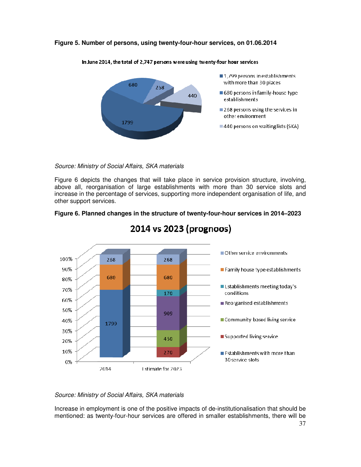### **Figure 5. Number of persons, using twenty-four-hour services, on 01.06.2014**



In June 2014, the total of 2,747 persons were using twenty-four hour services

Source: Ministry of Social Affairs, SKA materials

Figure 6 depicts the changes that will take place in service provision structure, involving, above all, reorganisation of large establishments with more than 30 service slots and increase in the percentage of services, supporting more independent organisation of life, and other support services.





# 2014 vs 2023 (prognoos)

### Source: Ministry of Social Affairs, SKA materials

Increase in employment is one of the positive impacts of de-institutionalisation that should be mentioned: as twenty-four-hour services are offered in smaller establishments, there will be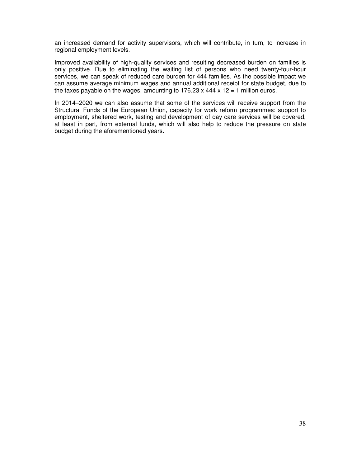an increased demand for activity supervisors, which will contribute, in turn, to increase in regional employment levels.

Improved availability of high-quality services and resulting decreased burden on families is only positive. Due to eliminating the waiting list of persons who need twenty-four-hour services, we can speak of reduced care burden for 444 families. As the possible impact we can assume average minimum wages and annual additional receipt for state budget, due to the taxes payable on the wages, amounting to  $176.23 \times 444 \times 12 = 1$  million euros.

In 2014–2020 we can also assume that some of the services will receive support from the Structural Funds of the European Union, capacity for work reform programmes: support to employment, sheltered work, testing and development of day care services will be covered, at least in part, from external funds, which will also help to reduce the pressure on state budget during the aforementioned years.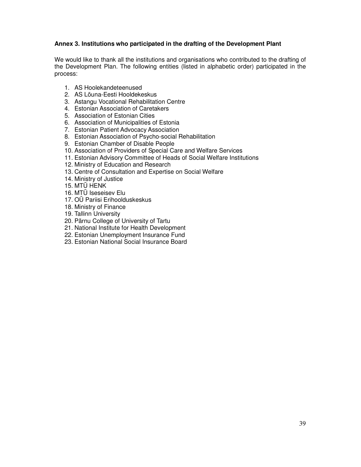### **Annex 3. Institutions who participated in the drafting of the Development Plant**

We would like to thank all the institutions and organisations who contributed to the drafting of the Development Plan. The following entities (listed in alphabetic order) participated in the process:

- 1. AS Hoolekandeteenused
- 2. AS Lõuna-Eesti Hooldekeskus
- 3. Astangu Vocational Rehabilitation Centre
- 4. Estonian Association of Caretakers
- 5. Association of Estonian Cities
- 6. Association of Municipalities of Estonia
- 7. Estonian Patient Advocacy Association
- 8. Estonian Association of Psycho-social Rehabilitation
- 9. Estonian Chamber of Disable People
- 10. Association of Providers of Special Care and Welfare Services
- 11. Estonian Advisory Committee of Heads of Social Welfare Institutions
- 12. Ministry of Education and Research
- 13. Centre of Consultation and Expertise on Social Welfare
- 14. Ministry of Justice
- 15. MTÜ HENK
- 16. MTÜ Iseseisev Elu
- 17. OÜ Pariisi Erihoolduskeskus
- 18. Ministry of Finance
- 19. Tallinn University
- 20. Pärnu College of University of Tartu
- 21. National Institute for Health Development
- 22. Estonian Unemployment Insurance Fund
- 23. Estonian National Social Insurance Board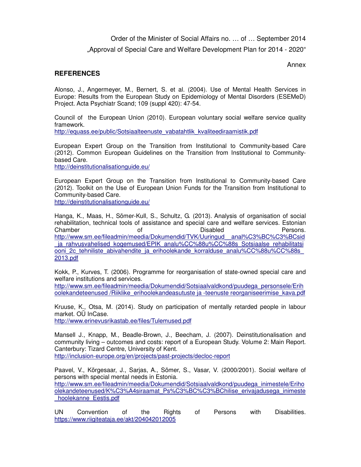Order of the Minister of Social Affairs no. … of … September 2014

"Approval of Special Care and Welfare Development Plan for 2014 - 2020"

Annex

# **REFERENCES**

Alonso, J., Angermeyer, M., Bernert, S. et al. (2004). Use of Mental Health Services in Europe: Results from the European Study on Epidemiology of Mental Disorders (ESEMeD) Project. Acta Psychiatr Scand; 109 (suppl 420): 47-54.

Council of the European Union (2010). European voluntary social welfare service quality framework.

http://equass.ee/public/Sotsiaalteenuste\_vabatahtlik\_kvaliteediraamistik.pdf

European Expert Group on the Transition from Institutional to Community-based Care (2012). Common European Guidelines on the Transition from Institutional to Communitybased Care.

http://deinstitutionalisationguide.eu/

European Expert Group on the Transition from Institutional to Community-based Care (2012). Toolkit on the Use of European Union Funds for the Transition from Institutional to Community-based Care.

http://deinstitutionalisationguide.eu/

Hanga, K., Maas, H., Sõmer-Kull, S., Schultz, G. (2013). Analysis of organisation of social rehabilitation, technical tools of assistance and special care and welfare services. Estonian Chamber of Disabled Persons. http://www.sm.ee/fileadmin/meedia/Dokumendid/TVK/Uuringud\_\_anal%C3%BC%C3%BCsid ja rahvusvahelised kogemused/EPIK analu%CC%88u%CC%88s Sotsiaalse rehabilitatsi ooni 2c\_tehniliste\_abivahendite\_ia\_erihoolekande\_korralduse\_analu%CC%88u%CC%88s 2013.pdf

Kokk, P., Kurves, T. (2006). Programme for reorganisation of state-owned special care and welfare institutions and services.

http://www.sm.ee/fileadmin/meedia/Dokumendid/Sotsiaalvaldkond/puudega\_personsele/Erih oolekandeteenused /Riiklike\_erihoolekandeasutuste ja -teenuste reorganiseerimise\_kava.pdf

Kruuse, K., Otsa, M. (2014). Study on participation of mentally retarded people in labour market. OÜ InCase.

http://www.erinevusrikastab.ee/files/Tulemused.pdf

Mansell J., Knapp, M., Beadle-Brown, J., Beecham, J. (2007). Deinstitutionalisation and community living – outcomes and costs: report of a European Study. Volume 2: Main Report. Canterbury: Tizard Centre, University of Kent.

http://inclusion-europe.org/en/projects/past-projects/decloc-report

Paavel, V., Kõrgesaar, J., Sarjas, A., Sõmer, S., Vasar, V. (2000/2001). Social welfare of persons with special mental needs in Estonia. http://www.sm.ee/fileadmin/meedia/Dokumendid/Sotsiaalvaldkond/puudega\_inimestele/Eriho olekandeteenused/K%C3%A4siraamat\_Ps%C3%BC%C3%BChilise\_erivajadusega\_inimeste \_hoolekanne\_Eestis.pdf

UN Convention of the Rights of Persons with Disabilities. https://www.riigiteataja.ee/akt/204042012005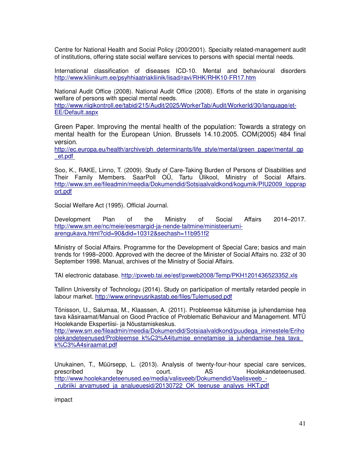Centre for National Health and Social Policy (200/2001). Specialty related-management audit of institutions, offering state social welfare services to persons with special mental needs.

International classification of diseases ICD-10. Mental and behavioural disorders http://www.kliinikum.ee/psyhhiaatriakliinik/lisad/ravi/RHK/RHK10-FR17.htm

National Audit Office (2008). National Audit Office (2008). Efforts of the state in organising welfare of persons with special mental needs.

http://www.riigikontroll.ee/tabid/215/Audit/2025/WorkerTab/Audit/WorkerId/30/language/et-EE/Default.aspx

Green Paper. Improving the mental health of the population: Towards a strategy on mental health for the European Union. Brussels 14.10.2005. COM(2005) 484 final version.

http://ec.europa.eu/health/archive/ph\_determinants/life\_style/mental/green\_paper/mental\_gp \_et.pdf

Soo, K., RAKE, Linno, T. (2009). Study of Care-Taking Burden of Persons of Disabilities and Their Family Members. SaarPoll OÜ, Tartu Ülikool, Ministry of Social Affairs. http://www.sm.ee/fileadmin/meedia/Dokumendid/Sotsiaalvaldkond/kogumik/PIU2009\_lopprap ort.pdf

Social Welfare Act (1995). Official Journal.

Development Plan of the Ministry of Social Affairs 2014–2017. http://www.sm.ee/nc/meie/eesmargid-ja-nende-taitmine/ministeeriumiarengukava.html?cid=90&did=10312&sechash=11b951f2

Ministry of Social Affairs. Programme for the Development of Special Care; basics and main trends for 1998–2000. Approved with the decree of the Minister of Social Affairs no. 232 of 30 September 1998. Manual, archives of the Ministry of Social Affairs.

TAI electronic database. http://pxweb.tai.ee/esf/pxweb2008/Temp/PKH1201436523352.xls

Tallinn University of Technologu (2014). Study on participation of mentally retarded people in labour market. http://www.erinevusrikastab.ee/files/Tulemused.pdf

Tõnisson, U., Salumaa, M., Klaassen, A. (2011). Probleemse käitumise ja juhendamise hea tava käsiraamat/Manual on Good Practice of Problematic Behaviour and Management. MTÜ Hoolekande Ekspertiisi- ja Nõustamiskeskus.

http://www.sm.ee/fileadmin/meedia/Dokumendid/Sotsiaalvaldkond/puudega\_inimestele/Eriho olekandeteenused/Probleemse\_k%C3%A4itumise\_ennetamise\_ja\_juhendamise\_hea\_tava k%C3%A4siraamat.pdf

Unukainen, T., Müürsepp, L. (2013). Analysis of twenty-four-hour special care services, prescribed by court. AS Hoolekandeteenused. http://www.hoolekandeteenused.ee/media/valisveeb/Dokumendid/Vaelisveeb\_ rubriiki arvamused ja analueuesid/20130722 OK teenuse analyys HKT.pdf

impact